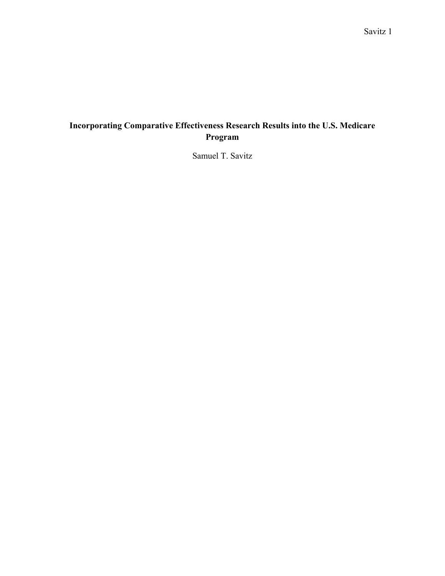# **Incorporating Comparative Effectiveness Research Results into the U.S. Medicare Program**

Samuel T. Savitz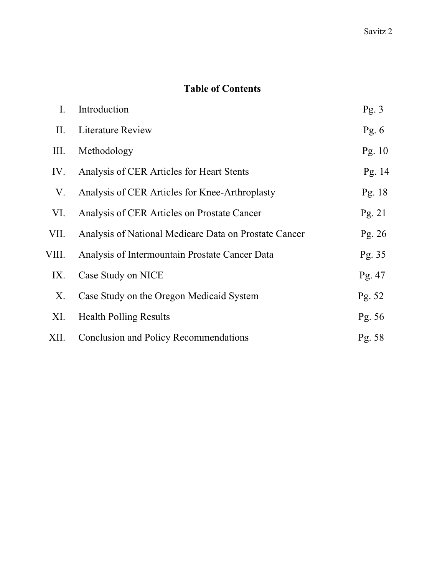# **Table of Contents**

| $I_{\cdot}$ | Introduction                                          | Pg.3     |
|-------------|-------------------------------------------------------|----------|
| П.          | Literature Review                                     | Pg. $6$  |
| Ш.          | Methodology                                           | Pg. $10$ |
| IV.         | Analysis of CER Articles for Heart Stents             | Pg. 14   |
| V.          | Analysis of CER Articles for Knee-Arthroplasty        | Pg. $18$ |
| VI.         | Analysis of CER Articles on Prostate Cancer           | Pg. 21   |
| VII.        | Analysis of National Medicare Data on Prostate Cancer | Pg. $26$ |
| VIII.       | Analysis of Intermountain Prostate Cancer Data        | Pg. 35   |
| IX.         | Case Study on NICE                                    | Pg. $47$ |
| Х.          | Case Study on the Oregon Medicaid System              | Pg. 52   |
| XI.         | <b>Health Polling Results</b>                         | Pg. 56   |
| XII.        | Conclusion and Policy Recommendations                 | Pg. $58$ |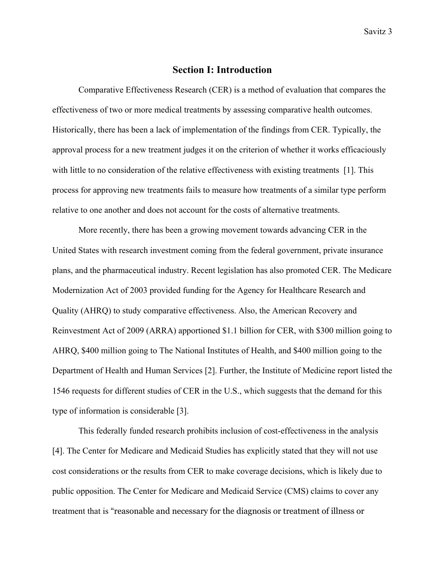# **Section I: Introduction**

 Comparative Effectiveness Research (CER) is a method of evaluation that compares the effectiveness of two or more medical treatments by assessing comparative health outcomes. Historically, there has been a lack of implementation of the findings from CER. Typically, the approval process for a new treatment judges it on the criterion of whether it works efficaciously with little to no consideration of the relative effectiveness with existing treatments [1]. This process for approving new treatments fails to measure how treatments of a similar type perform relative to one another and does not account for the costs of alternative treatments.

 More recently, there has been a growing movement towards advancing CER in the United States with research investment coming from the federal government, private insurance plans, and the pharmaceutical industry. Recent legislation has also promoted CER. The Medicare Modernization Act of 2003 provided funding for the Agency for Healthcare Research and Quality (AHRQ) to study comparative effectiveness. Also, the American Recovery and Reinvestment Act of 2009 (ARRA) apportioned \$1.1 billion for CER, with \$300 million going to AHRQ, \$400 million going to The National Institutes of Health, and \$400 million going to the Department of Health and Human Services [2]. Further, the Institute of Medicine report listed the 1546 requests for different studies of CER in the U.S., which suggests that the demand for this type of information is considerable [3].

This federally funded research prohibits inclusion of cost-effectiveness in the analysis [4]. The Center for Medicare and Medicaid Studies has explicitly stated that they will not use cost considerations or the results from CER to make coverage decisions, which is likely due to public opposition. The Center for Medicare and Medicaid Service (CMS) claims to cover any treatment that is "reasonable and necessary for the diagnosis or treatment of illness or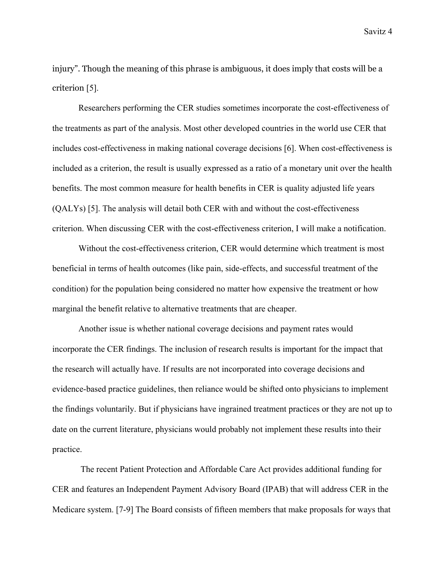injury". Though the meaning of this phrase is ambiguous, it does imply that costs will be a criterion [5].

Researchers performing the CER studies sometimes incorporate the cost-effectiveness of the treatments as part of the analysis. Most other developed countries in the world use CER that includes cost-effectiveness in making national coverage decisions [6]. When cost-effectiveness is included as a criterion, the result is usually expressed as a ratio of a monetary unit over the health benefits. The most common measure for health benefits in CER is quality adjusted life years (QALYs) [5]. The analysis will detail both CER with and without the cost-effectiveness criterion. When discussing CER with the cost-effectiveness criterion, I will make a notification.

Without the cost-effectiveness criterion, CER would determine which treatment is most beneficial in terms of health outcomes (like pain, side-effects, and successful treatment of the condition) for the population being considered no matter how expensive the treatment or how marginal the benefit relative to alternative treatments that are cheaper.

Another issue is whether national coverage decisions and payment rates would incorporate the CER findings. The inclusion of research results is important for the impact that the research will actually have. If results are not incorporated into coverage decisions and evidence-based practice guidelines, then reliance would be shifted onto physicians to implement the findings voluntarily. But if physicians have ingrained treatment practices or they are not up to date on the current literature, physicians would probably not implement these results into their practice.

 The recent Patient Protection and Affordable Care Act provides additional funding for CER and features an Independent Payment Advisory Board (IPAB) that will address CER in the Medicare system. [7-9] The Board consists of fifteen members that make proposals for ways that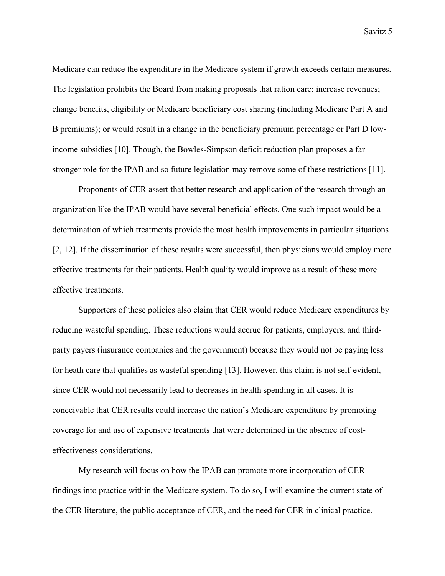Medicare can reduce the expenditure in the Medicare system if growth exceeds certain measures. The legislation prohibits the Board from making proposals that ration care; increase revenues; change benefits, eligibility or Medicare beneficiary cost sharing (including Medicare Part A and B premiums); or would result in a change in the beneficiary premium percentage or Part D lowincome subsidies [10]. Though, the Bowles-Simpson deficit reduction plan proposes a far stronger role for the IPAB and so future legislation may remove some of these restrictions [11].

 Proponents of CER assert that better research and application of the research through an organization like the IPAB would have several beneficial effects. One such impact would be a determination of which treatments provide the most health improvements in particular situations [2, 12]. If the dissemination of these results were successful, then physicians would employ more effective treatments for their patients. Health quality would improve as a result of these more effective treatments.

 Supporters of these policies also claim that CER would reduce Medicare expenditures by reducing wasteful spending. These reductions would accrue for patients, employers, and thirdparty payers (insurance companies and the government) because they would not be paying less for heath care that qualifies as wasteful spending [13]. However, this claim is not self-evident, since CER would not necessarily lead to decreases in health spending in all cases. It is conceivable that CER results could increase the nation's Medicare expenditure by promoting coverage for and use of expensive treatments that were determined in the absence of costeffectiveness considerations.

 My research will focus on how the IPAB can promote more incorporation of CER findings into practice within the Medicare system. To do so, I will examine the current state of the CER literature, the public acceptance of CER, and the need for CER in clinical practice.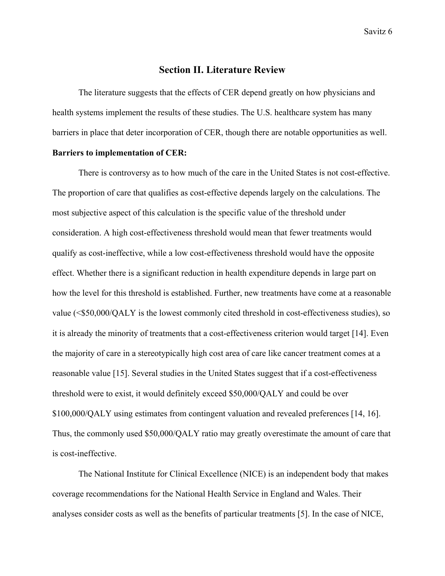# **Section II. Literature Review**

 The literature suggests that the effects of CER depend greatly on how physicians and health systems implement the results of these studies. The U.S. healthcare system has many barriers in place that deter incorporation of CER, though there are notable opportunities as well.

#### **Barriers to implementation of CER:**

There is controversy as to how much of the care in the United States is not cost-effective. The proportion of care that qualifies as cost-effective depends largely on the calculations. The most subjective aspect of this calculation is the specific value of the threshold under consideration. A high cost-effectiveness threshold would mean that fewer treatments would qualify as cost-ineffective, while a low cost-effectiveness threshold would have the opposite effect. Whether there is a significant reduction in health expenditure depends in large part on how the level for this threshold is established. Further, new treatments have come at a reasonable value (<\$50,000/QALY is the lowest commonly cited threshold in cost-effectiveness studies), so it is already the minority of treatments that a cost-effectiveness criterion would target [14]. Even the majority of care in a stereotypically high cost area of care like cancer treatment comes at a reasonable value [15]. Several studies in the United States suggest that if a cost-effectiveness threshold were to exist, it would definitely exceed \$50,000/QALY and could be over \$100,000/QALY using estimates from contingent valuation and revealed preferences [14, 16]. Thus, the commonly used \$50,000/QALY ratio may greatly overestimate the amount of care that is cost-ineffective.

The National Institute for Clinical Excellence (NICE) is an independent body that makes coverage recommendations for the National Health Service in England and Wales. Their analyses consider costs as well as the benefits of particular treatments [5]. In the case of NICE,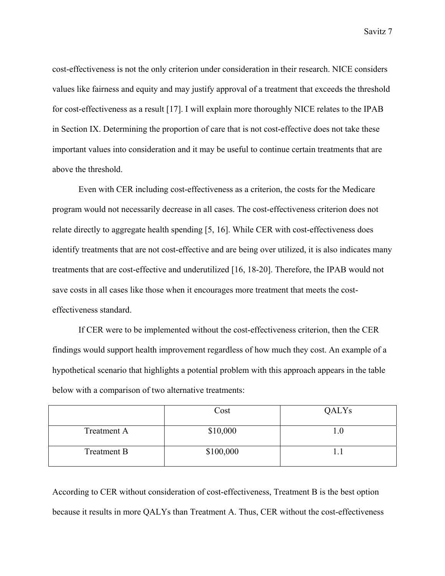cost-effectiveness is not the only criterion under consideration in their research. NICE considers values like fairness and equity and may justify approval of a treatment that exceeds the threshold for cost-effectiveness as a result [17]. I will explain more thoroughly NICE relates to the IPAB in Section IX. Determining the proportion of care that is not cost-effective does not take these important values into consideration and it may be useful to continue certain treatments that are above the threshold.

Even with CER including cost-effectiveness as a criterion, the costs for the Medicare program would not necessarily decrease in all cases. The cost-effectiveness criterion does not relate directly to aggregate health spending [5, 16]. While CER with cost-effectiveness does identify treatments that are not cost-effective and are being over utilized, it is also indicates many treatments that are cost-effective and underutilized [16, 18-20]. Therefore, the IPAB would not save costs in all cases like those when it encourages more treatment that meets the costeffectiveness standard.

If CER were to be implemented without the cost-effectiveness criterion, then the CER findings would support health improvement regardless of how much they cost. An example of a hypothetical scenario that highlights a potential problem with this approach appears in the table below with a comparison of two alternative treatments:

|                    | Cost      | QALYs |
|--------------------|-----------|-------|
| <b>Treatment A</b> | \$10,000  |       |
| <b>Treatment B</b> | \$100,000 |       |

According to CER without consideration of cost-effectiveness, Treatment B is the best option because it results in more QALYs than Treatment A. Thus, CER without the cost-effectiveness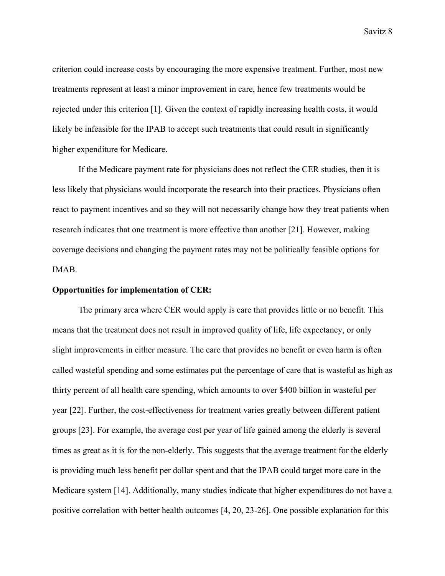criterion could increase costs by encouraging the more expensive treatment. Further, most new treatments represent at least a minor improvement in care, hence few treatments would be rejected under this criterion [1]. Given the context of rapidly increasing health costs, it would likely be infeasible for the IPAB to accept such treatments that could result in significantly higher expenditure for Medicare.

 If the Medicare payment rate for physicians does not reflect the CER studies, then it is less likely that physicians would incorporate the research into their practices. Physicians often react to payment incentives and so they will not necessarily change how they treat patients when research indicates that one treatment is more effective than another [21]. However, making coverage decisions and changing the payment rates may not be politically feasible options for IMAB.

#### **Opportunities for implementation of CER:**

The primary area where CER would apply is care that provides little or no benefit. This means that the treatment does not result in improved quality of life, life expectancy, or only slight improvements in either measure. The care that provides no benefit or even harm is often called wasteful spending and some estimates put the percentage of care that is wasteful as high as thirty percent of all health care spending, which amounts to over \$400 billion in wasteful per year [22]. Further, the cost-effectiveness for treatment varies greatly between different patient groups [23]. For example, the average cost per year of life gained among the elderly is several times as great as it is for the non-elderly. This suggests that the average treatment for the elderly is providing much less benefit per dollar spent and that the IPAB could target more care in the Medicare system [14]. Additionally, many studies indicate that higher expenditures do not have a positive correlation with better health outcomes [4, 20, 23-26]. One possible explanation for this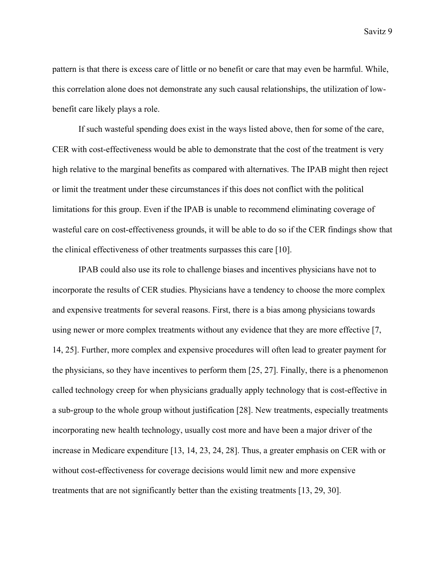pattern is that there is excess care of little or no benefit or care that may even be harmful. While, this correlation alone does not demonstrate any such causal relationships, the utilization of lowbenefit care likely plays a role.

If such wasteful spending does exist in the ways listed above, then for some of the care, CER with cost-effectiveness would be able to demonstrate that the cost of the treatment is very high relative to the marginal benefits as compared with alternatives. The IPAB might then reject or limit the treatment under these circumstances if this does not conflict with the political limitations for this group. Even if the IPAB is unable to recommend eliminating coverage of wasteful care on cost-effectiveness grounds, it will be able to do so if the CER findings show that the clinical effectiveness of other treatments surpasses this care [10].

IPAB could also use its role to challenge biases and incentives physicians have not to incorporate the results of CER studies. Physicians have a tendency to choose the more complex and expensive treatments for several reasons. First, there is a bias among physicians towards using newer or more complex treatments without any evidence that they are more effective [7, 14, 25]. Further, more complex and expensive procedures will often lead to greater payment for the physicians, so they have incentives to perform them [25, 27]. Finally, there is a phenomenon called technology creep for when physicians gradually apply technology that is cost-effective in a sub-group to the whole group without justification [28]. New treatments, especially treatments incorporating new health technology, usually cost more and have been a major driver of the increase in Medicare expenditure [13, 14, 23, 24, 28]. Thus, a greater emphasis on CER with or without cost-effectiveness for coverage decisions would limit new and more expensive treatments that are not significantly better than the existing treatments [13, 29, 30].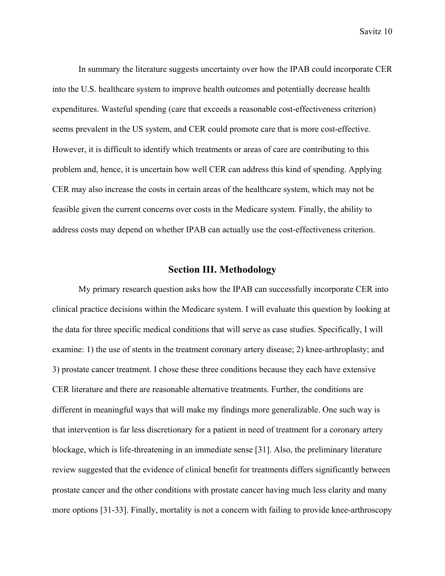In summary the literature suggests uncertainty over how the IPAB could incorporate CER into the U.S. healthcare system to improve health outcomes and potentially decrease health expenditures. Wasteful spending (care that exceeds a reasonable cost-effectiveness criterion) seems prevalent in the US system, and CER could promote care that is more cost-effective. However, it is difficult to identify which treatments or areas of care are contributing to this problem and, hence, it is uncertain how well CER can address this kind of spending. Applying CER may also increase the costs in certain areas of the healthcare system, which may not be feasible given the current concerns over costs in the Medicare system. Finally, the ability to address costs may depend on whether IPAB can actually use the cost-effectiveness criterion.

# **Section III. Methodology**

My primary research question asks how the IPAB can successfully incorporate CER into clinical practice decisions within the Medicare system. I will evaluate this question by looking at the data for three specific medical conditions that will serve as case studies. Specifically, I will examine: 1) the use of stents in the treatment coronary artery disease; 2) knee-arthroplasty; and 3) prostate cancer treatment. I chose these three conditions because they each have extensive CER literature and there are reasonable alternative treatments. Further, the conditions are different in meaningful ways that will make my findings more generalizable. One such way is that intervention is far less discretionary for a patient in need of treatment for a coronary artery blockage, which is life-threatening in an immediate sense [31]. Also, the preliminary literature review suggested that the evidence of clinical benefit for treatments differs significantly between prostate cancer and the other conditions with prostate cancer having much less clarity and many more options [31-33]. Finally, mortality is not a concern with failing to provide knee-arthroscopy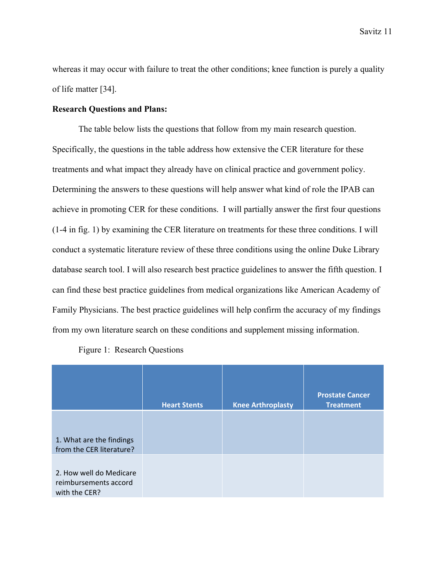whereas it may occur with failure to treat the other conditions; knee function is purely a quality of life matter [34].

### **Research Questions and Plans:**

The table below lists the questions that follow from my main research question. Specifically, the questions in the table address how extensive the CER literature for these treatments and what impact they already have on clinical practice and government policy. Determining the answers to these questions will help answer what kind of role the IPAB can achieve in promoting CER for these conditions. I will partially answer the first four questions (1-4 in fig. 1) by examining the CER literature on treatments for these three conditions. I will conduct a systematic literature review of these three conditions using the online Duke Library database search tool. I will also research best practice guidelines to answer the fifth question. I can find these best practice guidelines from medical organizations like American Academy of Family Physicians. The best practice guidelines will help confirm the accuracy of my findings from my own literature search on these conditions and supplement missing information.

|                                                                   | <b>Heart Stents</b> | <b>Knee Arthroplasty</b> | <b>Prostate Cancer</b><br><b>Treatment</b> |
|-------------------------------------------------------------------|---------------------|--------------------------|--------------------------------------------|
| 1. What are the findings<br>from the CER literature?              |                     |                          |                                            |
| 2. How well do Medicare<br>reimbursements accord<br>with the CER? |                     |                          |                                            |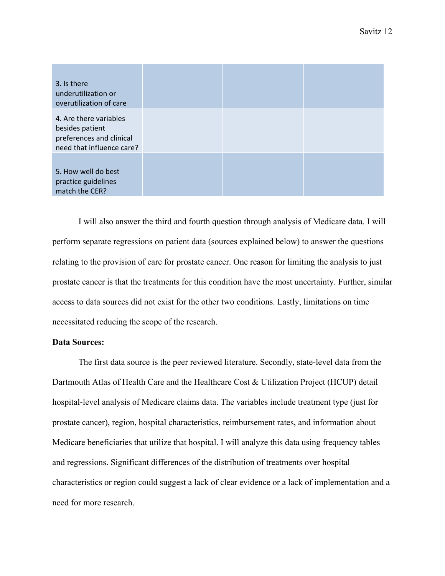| 3. Is there<br>underutilization or<br>overutilization of care                                      |  |  |
|----------------------------------------------------------------------------------------------------|--|--|
| 4. Are there variables<br>besides patient<br>preferences and clinical<br>need that influence care? |  |  |
| 5. How well do best<br>practice guidelines<br>match the CER?                                       |  |  |

I will also answer the third and fourth question through analysis of Medicare data. I will perform separate regressions on patient data (sources explained below) to answer the questions relating to the provision of care for prostate cancer. One reason for limiting the analysis to just prostate cancer is that the treatments for this condition have the most uncertainty. Further, similar access to data sources did not exist for the other two conditions. Lastly, limitations on time necessitated reducing the scope of the research.

### **Data Sources:**

The first data source is the peer reviewed literature. Secondly, state-level data from the Dartmouth Atlas of Health Care and the Healthcare Cost & Utilization Project (HCUP) detail hospital-level analysis of Medicare claims data. The variables include treatment type (just for prostate cancer), region, hospital characteristics, reimbursement rates, and information about Medicare beneficiaries that utilize that hospital. I will analyze this data using frequency tables and regressions. Significant differences of the distribution of treatments over hospital characteristics or region could suggest a lack of clear evidence or a lack of implementation and a need for more research.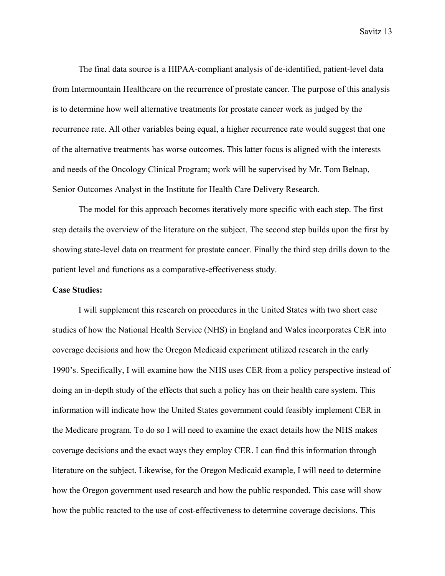The final data source is a HIPAA-compliant analysis of de-identified, patient-level data from Intermountain Healthcare on the recurrence of prostate cancer. The purpose of this analysis is to determine how well alternative treatments for prostate cancer work as judged by the recurrence rate. All other variables being equal, a higher recurrence rate would suggest that one of the alternative treatments has worse outcomes. This latter focus is aligned with the interests and needs of the Oncology Clinical Program; work will be supervised by Mr. Tom Belnap, Senior Outcomes Analyst in the Institute for Health Care Delivery Research.

 The model for this approach becomes iteratively more specific with each step. The first step details the overview of the literature on the subject. The second step builds upon the first by showing state-level data on treatment for prostate cancer. Finally the third step drills down to the patient level and functions as a comparative-effectiveness study.

### **Case Studies:**

I will supplement this research on procedures in the United States with two short case studies of how the National Health Service (NHS) in England and Wales incorporates CER into coverage decisions and how the Oregon Medicaid experiment utilized research in the early 1990's. Specifically, I will examine how the NHS uses CER from a policy perspective instead of doing an in-depth study of the effects that such a policy has on their health care system. This information will indicate how the United States government could feasibly implement CER in the Medicare program. To do so I will need to examine the exact details how the NHS makes coverage decisions and the exact ways they employ CER. I can find this information through literature on the subject. Likewise, for the Oregon Medicaid example, I will need to determine how the Oregon government used research and how the public responded. This case will show how the public reacted to the use of cost-effectiveness to determine coverage decisions. This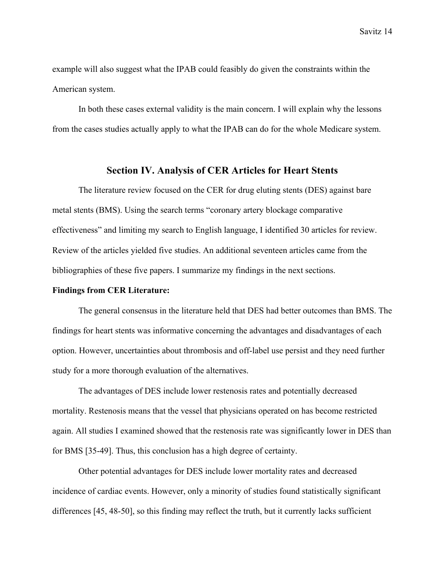example will also suggest what the IPAB could feasibly do given the constraints within the American system.

In both these cases external validity is the main concern. I will explain why the lessons from the cases studies actually apply to what the IPAB can do for the whole Medicare system.

# **Section IV. Analysis of CER Articles for Heart Stents**

 The literature review focused on the CER for drug eluting stents (DES) against bare metal stents (BMS). Using the search terms "coronary artery blockage comparative effectiveness" and limiting my search to English language, I identified 30 articles for review. Review of the articles yielded five studies. An additional seventeen articles came from the bibliographies of these five papers. I summarize my findings in the next sections.

### **Findings from CER Literature:**

 The general consensus in the literature held that DES had better outcomes than BMS. The findings for heart stents was informative concerning the advantages and disadvantages of each option. However, uncertainties about thrombosis and off-label use persist and they need further study for a more thorough evaluation of the alternatives.

The advantages of DES include lower restenosis rates and potentially decreased mortality. Restenosis means that the vessel that physicians operated on has become restricted again. All studies I examined showed that the restenosis rate was significantly lower in DES than for BMS [35-49]. Thus, this conclusion has a high degree of certainty.

Other potential advantages for DES include lower mortality rates and decreased incidence of cardiac events. However, only a minority of studies found statistically significant differences [45, 48-50], so this finding may reflect the truth, but it currently lacks sufficient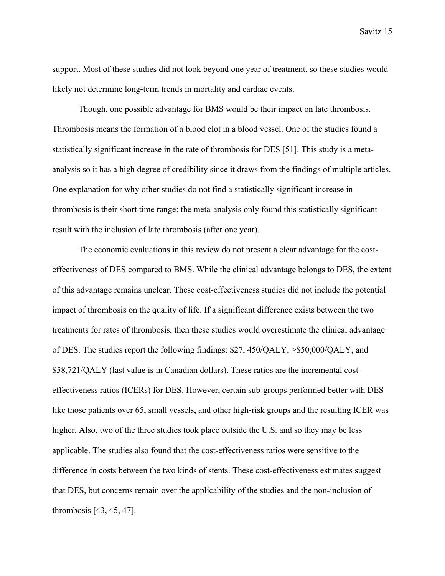support. Most of these studies did not look beyond one year of treatment, so these studies would likely not determine long-term trends in mortality and cardiac events.

Though, one possible advantage for BMS would be their impact on late thrombosis. Thrombosis means the formation of a blood clot in a blood vessel. One of the studies found a statistically significant increase in the rate of thrombosis for DES [51]. This study is a metaanalysis so it has a high degree of credibility since it draws from the findings of multiple articles. One explanation for why other studies do not find a statistically significant increase in thrombosis is their short time range: the meta-analysis only found this statistically significant result with the inclusion of late thrombosis (after one year).

The economic evaluations in this review do not present a clear advantage for the costeffectiveness of DES compared to BMS. While the clinical advantage belongs to DES, the extent of this advantage remains unclear. These cost-effectiveness studies did not include the potential impact of thrombosis on the quality of life. If a significant difference exists between the two treatments for rates of thrombosis, then these studies would overestimate the clinical advantage of DES. The studies report the following findings: \$27, 450/QALY, >\$50,000/QALY, and \$58,721/QALY (last value is in Canadian dollars). These ratios are the incremental costeffectiveness ratios (ICERs) for DES. However, certain sub-groups performed better with DES like those patients over 65, small vessels, and other high-risk groups and the resulting ICER was higher. Also, two of the three studies took place outside the U.S. and so they may be less applicable. The studies also found that the cost-effectiveness ratios were sensitive to the difference in costs between the two kinds of stents. These cost-effectiveness estimates suggest that DES, but concerns remain over the applicability of the studies and the non-inclusion of thrombosis [43, 45, 47].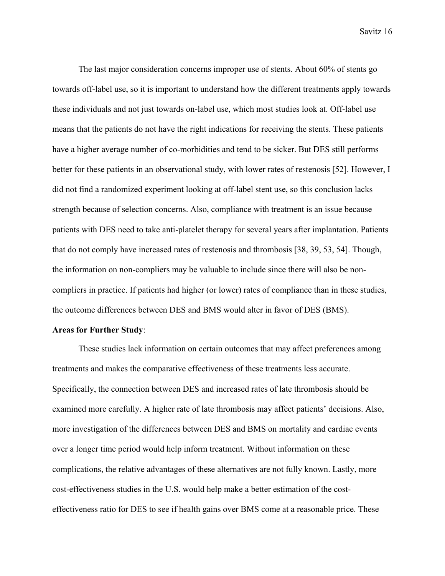The last major consideration concerns improper use of stents. About 60% of stents go towards off-label use, so it is important to understand how the different treatments apply towards these individuals and not just towards on-label use, which most studies look at. Off-label use means that the patients do not have the right indications for receiving the stents. These patients have a higher average number of co-morbidities and tend to be sicker. But DES still performs better for these patients in an observational study, with lower rates of restenosis [52]. However, I did not find a randomized experiment looking at off-label stent use, so this conclusion lacks strength because of selection concerns. Also, compliance with treatment is an issue because patients with DES need to take anti-platelet therapy for several years after implantation. Patients that do not comply have increased rates of restenosis and thrombosis [38, 39, 53, 54]. Though, the information on non-compliers may be valuable to include since there will also be noncompliers in practice. If patients had higher (or lower) rates of compliance than in these studies, the outcome differences between DES and BMS would alter in favor of DES (BMS).

### **Areas for Further Study**:

These studies lack information on certain outcomes that may affect preferences among treatments and makes the comparative effectiveness of these treatments less accurate. Specifically, the connection between DES and increased rates of late thrombosis should be examined more carefully. A higher rate of late thrombosis may affect patients' decisions. Also, more investigation of the differences between DES and BMS on mortality and cardiac events over a longer time period would help inform treatment. Without information on these complications, the relative advantages of these alternatives are not fully known. Lastly, more cost-effectiveness studies in the U.S. would help make a better estimation of the costeffectiveness ratio for DES to see if health gains over BMS come at a reasonable price. These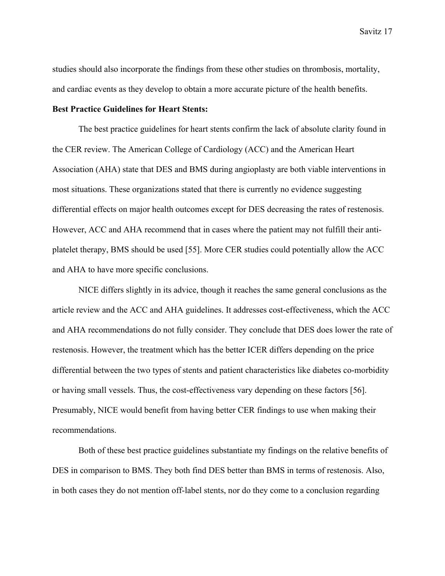studies should also incorporate the findings from these other studies on thrombosis, mortality, and cardiac events as they develop to obtain a more accurate picture of the health benefits.

### **Best Practice Guidelines for Heart Stents:**

The best practice guidelines for heart stents confirm the lack of absolute clarity found in the CER review. The American College of Cardiology (ACC) and the American Heart Association (AHA) state that DES and BMS during angioplasty are both viable interventions in most situations. These organizations stated that there is currently no evidence suggesting differential effects on major health outcomes except for DES decreasing the rates of restenosis. However, ACC and AHA recommend that in cases where the patient may not fulfill their antiplatelet therapy, BMS should be used [55]. More CER studies could potentially allow the ACC and AHA to have more specific conclusions.

 NICE differs slightly in its advice, though it reaches the same general conclusions as the article review and the ACC and AHA guidelines. It addresses cost-effectiveness, which the ACC and AHA recommendations do not fully consider. They conclude that DES does lower the rate of restenosis. However, the treatment which has the better ICER differs depending on the price differential between the two types of stents and patient characteristics like diabetes co-morbidity or having small vessels. Thus, the cost-effectiveness vary depending on these factors [56]. Presumably, NICE would benefit from having better CER findings to use when making their recommendations.

 Both of these best practice guidelines substantiate my findings on the relative benefits of DES in comparison to BMS. They both find DES better than BMS in terms of restenosis. Also, in both cases they do not mention off-label stents, nor do they come to a conclusion regarding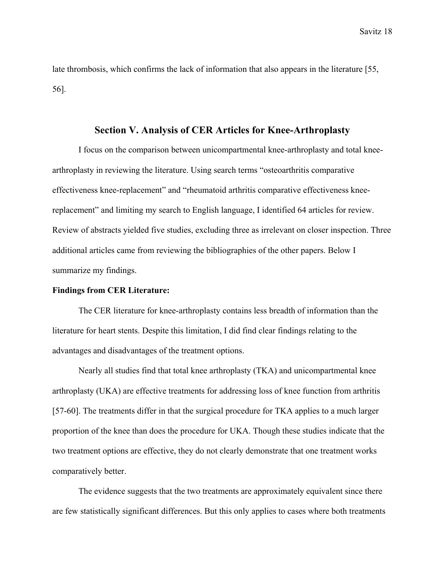late thrombosis, which confirms the lack of information that also appears in the literature [55, 56].

### **Section V. Analysis of CER Articles for Knee-Arthroplasty**

I focus on the comparison between unicompartmental knee-arthroplasty and total kneearthroplasty in reviewing the literature. Using search terms "osteoarthritis comparative effectiveness knee-replacement" and "rheumatoid arthritis comparative effectiveness kneereplacement" and limiting my search to English language, I identified 64 articles for review. Review of abstracts yielded five studies, excluding three as irrelevant on closer inspection. Three additional articles came from reviewing the bibliographies of the other papers. Below I summarize my findings.

### **Findings from CER Literature:**

The CER literature for knee-arthroplasty contains less breadth of information than the literature for heart stents. Despite this limitation, I did find clear findings relating to the advantages and disadvantages of the treatment options.

Nearly all studies find that total knee arthroplasty (TKA) and unicompartmental knee arthroplasty (UKA) are effective treatments for addressing loss of knee function from arthritis [57-60]. The treatments differ in that the surgical procedure for TKA applies to a much larger proportion of the knee than does the procedure for UKA. Though these studies indicate that the two treatment options are effective, they do not clearly demonstrate that one treatment works comparatively better.

The evidence suggests that the two treatments are approximately equivalent since there are few statistically significant differences. But this only applies to cases where both treatments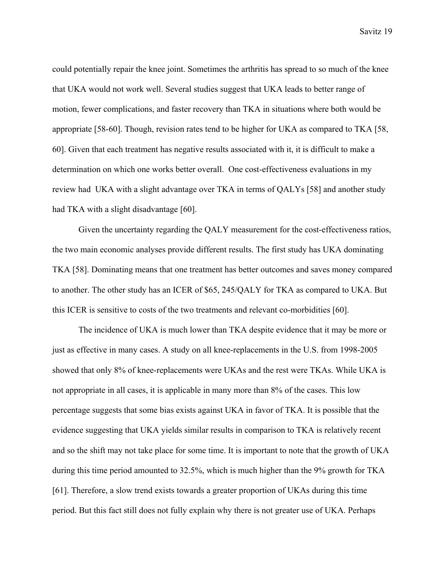could potentially repair the knee joint. Sometimes the arthritis has spread to so much of the knee that UKA would not work well. Several studies suggest that UKA leads to better range of motion, fewer complications, and faster recovery than TKA in situations where both would be appropriate [58-60]. Though, revision rates tend to be higher for UKA as compared to TKA [58, 60]. Given that each treatment has negative results associated with it, it is difficult to make a determination on which one works better overall. One cost-effectiveness evaluations in my review had UKA with a slight advantage over TKA in terms of QALYs [58] and another study had TKA with a slight disadvantage [60].

Given the uncertainty regarding the QALY measurement for the cost-effectiveness ratios, the two main economic analyses provide different results. The first study has UKA dominating TKA [58]. Dominating means that one treatment has better outcomes and saves money compared to another. The other study has an ICER of \$65, 245/QALY for TKA as compared to UKA. But this ICER is sensitive to costs of the two treatments and relevant co-morbidities [60].

The incidence of UKA is much lower than TKA despite evidence that it may be more or just as effective in many cases. A study on all knee-replacements in the U.S. from 1998-2005 showed that only 8% of knee-replacements were UKAs and the rest were TKAs. While UKA is not appropriate in all cases, it is applicable in many more than 8% of the cases. This low percentage suggests that some bias exists against UKA in favor of TKA. It is possible that the evidence suggesting that UKA yields similar results in comparison to TKA is relatively recent and so the shift may not take place for some time. It is important to note that the growth of UKA during this time period amounted to 32.5%, which is much higher than the 9% growth for TKA [61]. Therefore, a slow trend exists towards a greater proportion of UKAs during this time period. But this fact still does not fully explain why there is not greater use of UKA. Perhaps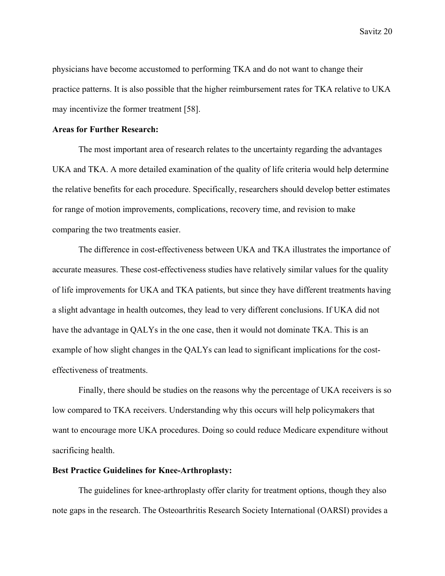physicians have become accustomed to performing TKA and do not want to change their practice patterns. It is also possible that the higher reimbursement rates for TKA relative to UKA may incentivize the former treatment [58].

#### **Areas for Further Research:**

 The most important area of research relates to the uncertainty regarding the advantages UKA and TKA. A more detailed examination of the quality of life criteria would help determine the relative benefits for each procedure. Specifically, researchers should develop better estimates for range of motion improvements, complications, recovery time, and revision to make comparing the two treatments easier.

The difference in cost-effectiveness between UKA and TKA illustrates the importance of accurate measures. These cost-effectiveness studies have relatively similar values for the quality of life improvements for UKA and TKA patients, but since they have different treatments having a slight advantage in health outcomes, they lead to very different conclusions. If UKA did not have the advantage in QALYs in the one case, then it would not dominate TKA. This is an example of how slight changes in the QALYs can lead to significant implications for the costeffectiveness of treatments.

Finally, there should be studies on the reasons why the percentage of UKA receivers is so low compared to TKA receivers. Understanding why this occurs will help policymakers that want to encourage more UKA procedures. Doing so could reduce Medicare expenditure without sacrificing health.

### **Best Practice Guidelines for Knee-Arthroplasty:**

The guidelines for knee-arthroplasty offer clarity for treatment options, though they also note gaps in the research. The Osteoarthritis Research Society International (OARSI) provides a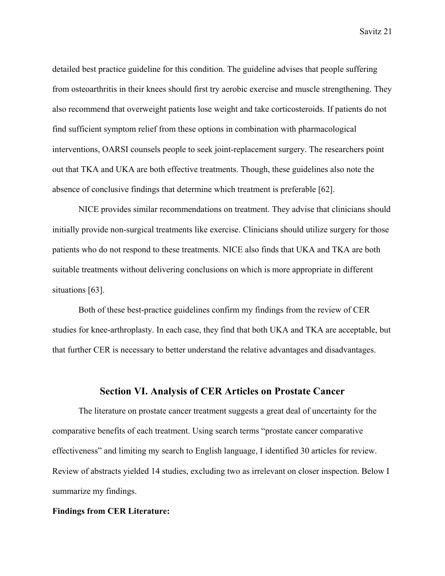detailed best practice guideline for this condition. The guideline advises that people suffering from osteoarthritis in their knees should first try aerobic exercise and muscle strengthening. They also recommend that overweight patients lose weight and take corticosteroids. If patients do not find sufficient symptom relief from these options in combination with pharmacological interventions, OARSI counsels people to seek joint-replacement surgery. The researchers point out that TKA and UKA are both effective treatments. Though, these guidelines also note the absence of conclusive findings that determine which treatment is preferable [62].

 NICE provides similar recommendations on treatment. They advise that clinicians should initially provide non-surgical treatments like exercise. Clinicians should utilize surgery for those patients who do not respond to these treatments. NICE also finds that UKA and TKA are both suitable treatments without delivering conclusions on which is more appropriate in different situations [63].

 Both of these best-practice guidelines confirm my findings from the review of CER studies for knee-arthroplasty. In each case, they find that both UKA and TKA are acceptable, but that further CER is necessary to better understand the relative advantages and disadvantages.

# **Section VI. Analysis of CER Articles on Prostate Cancer**

 The literature on prostate cancer treatment suggests a great deal of uncertainty for the comparative benefits of each treatment. Using search terms "prostate cancer comparative effectiveness" and limiting my search to English language, I identified 30 articles for review. Review of abstracts yielded 14 studies, excluding two as irrelevant on closer inspection. Below I summarize my findings.

### **Findings from CER Literature:**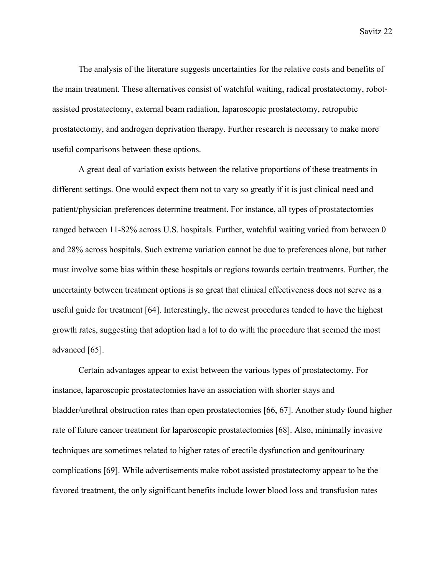The analysis of the literature suggests uncertainties for the relative costs and benefits of the main treatment. These alternatives consist of watchful waiting, radical prostatectomy, robotassisted prostatectomy, external beam radiation, laparoscopic prostatectomy, retropubic prostatectomy, and androgen deprivation therapy. Further research is necessary to make more useful comparisons between these options.

 A great deal of variation exists between the relative proportions of these treatments in different settings. One would expect them not to vary so greatly if it is just clinical need and patient/physician preferences determine treatment. For instance, all types of prostatectomies ranged between 11-82% across U.S. hospitals. Further, watchful waiting varied from between 0 and 28% across hospitals. Such extreme variation cannot be due to preferences alone, but rather must involve some bias within these hospitals or regions towards certain treatments. Further, the uncertainty between treatment options is so great that clinical effectiveness does not serve as a useful guide for treatment [64]. Interestingly, the newest procedures tended to have the highest growth rates, suggesting that adoption had a lot to do with the procedure that seemed the most advanced [65].

 Certain advantages appear to exist between the various types of prostatectomy. For instance, laparoscopic prostatectomies have an association with shorter stays and bladder/urethral obstruction rates than open prostatectomies [66, 67]. Another study found higher rate of future cancer treatment for laparoscopic prostatectomies [68]. Also, minimally invasive techniques are sometimes related to higher rates of erectile dysfunction and genitourinary complications [69]. While advertisements make robot assisted prostatectomy appear to be the favored treatment, the only significant benefits include lower blood loss and transfusion rates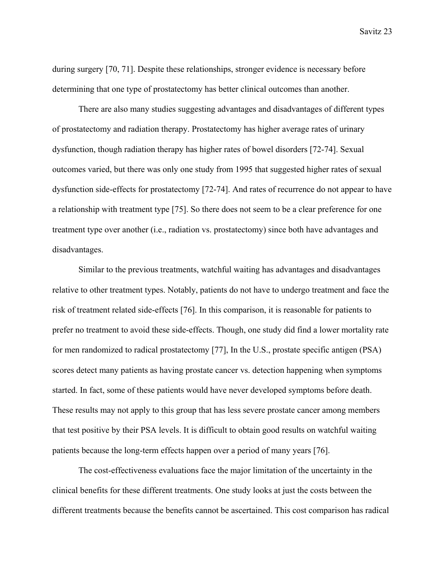during surgery [70, 71]. Despite these relationships, stronger evidence is necessary before determining that one type of prostatectomy has better clinical outcomes than another.

 There are also many studies suggesting advantages and disadvantages of different types of prostatectomy and radiation therapy. Prostatectomy has higher average rates of urinary dysfunction, though radiation therapy has higher rates of bowel disorders [72-74]. Sexual outcomes varied, but there was only one study from 1995 that suggested higher rates of sexual dysfunction side-effects for prostatectomy [72-74]. And rates of recurrence do not appear to have a relationship with treatment type [75]. So there does not seem to be a clear preference for one treatment type over another (i.e., radiation vs. prostatectomy) since both have advantages and disadvantages.

 Similar to the previous treatments, watchful waiting has advantages and disadvantages relative to other treatment types. Notably, patients do not have to undergo treatment and face the risk of treatment related side-effects [76]. In this comparison, it is reasonable for patients to prefer no treatment to avoid these side-effects. Though, one study did find a lower mortality rate for men randomized to radical prostatectomy [77], In the U.S., prostate specific antigen (PSA) scores detect many patients as having prostate cancer vs. detection happening when symptoms started. In fact, some of these patients would have never developed symptoms before death. These results may not apply to this group that has less severe prostate cancer among members that test positive by their PSA levels. It is difficult to obtain good results on watchful waiting patients because the long-term effects happen over a period of many years [76].

 The cost-effectiveness evaluations face the major limitation of the uncertainty in the clinical benefits for these different treatments. One study looks at just the costs between the different treatments because the benefits cannot be ascertained. This cost comparison has radical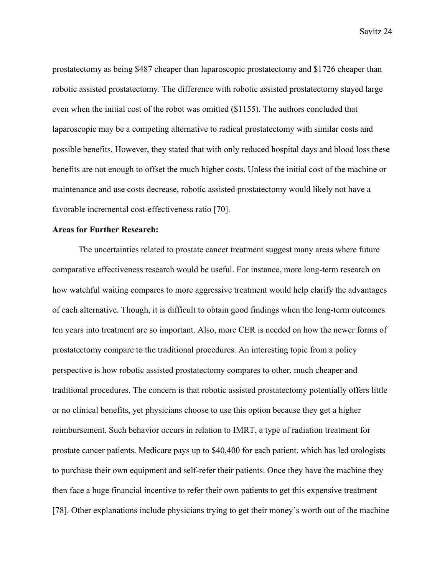prostatectomy as being \$487 cheaper than laparoscopic prostatectomy and \$1726 cheaper than robotic assisted prostatectomy. The difference with robotic assisted prostatectomy stayed large even when the initial cost of the robot was omitted (\$1155). The authors concluded that laparoscopic may be a competing alternative to radical prostatectomy with similar costs and possible benefits. However, they stated that with only reduced hospital days and blood loss these benefits are not enough to offset the much higher costs. Unless the initial cost of the machine or maintenance and use costs decrease, robotic assisted prostatectomy would likely not have a favorable incremental cost-effectiveness ratio [70].

### **Areas for Further Research:**

 The uncertainties related to prostate cancer treatment suggest many areas where future comparative effectiveness research would be useful. For instance, more long-term research on how watchful waiting compares to more aggressive treatment would help clarify the advantages of each alternative. Though, it is difficult to obtain good findings when the long-term outcomes ten years into treatment are so important. Also, more CER is needed on how the newer forms of prostatectomy compare to the traditional procedures. An interesting topic from a policy perspective is how robotic assisted prostatectomy compares to other, much cheaper and traditional procedures. The concern is that robotic assisted prostatectomy potentially offers little or no clinical benefits, yet physicians choose to use this option because they get a higher reimbursement. Such behavior occurs in relation to IMRT, a type of radiation treatment for prostate cancer patients. Medicare pays up to \$40,400 for each patient, which has led urologists to purchase their own equipment and self-refer their patients. Once they have the machine they then face a huge financial incentive to refer their own patients to get this expensive treatment [78]. Other explanations include physicians trying to get their money's worth out of the machine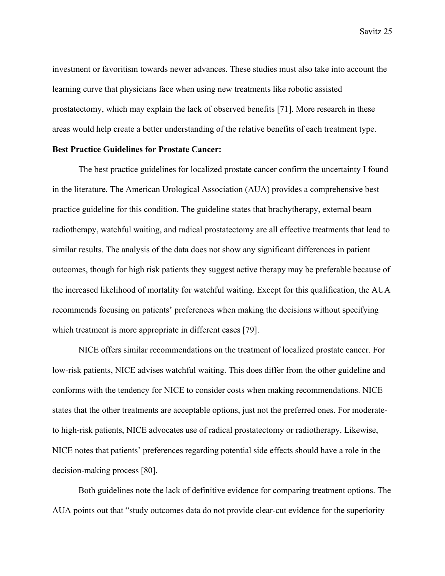investment or favoritism towards newer advances. These studies must also take into account the learning curve that physicians face when using new treatments like robotic assisted prostatectomy, which may explain the lack of observed benefits [71]. More research in these areas would help create a better understanding of the relative benefits of each treatment type.

# **Best Practice Guidelines for Prostate Cancer:**

The best practice guidelines for localized prostate cancer confirm the uncertainty I found in the literature. The American Urological Association (AUA) provides a comprehensive best practice guideline for this condition. The guideline states that brachytherapy, external beam radiotherapy, watchful waiting, and radical prostatectomy are all effective treatments that lead to similar results. The analysis of the data does not show any significant differences in patient outcomes, though for high risk patients they suggest active therapy may be preferable because of the increased likelihood of mortality for watchful waiting. Except for this qualification, the AUA recommends focusing on patients' preferences when making the decisions without specifying which treatment is more appropriate in different cases [79].

 NICE offers similar recommendations on the treatment of localized prostate cancer. For low-risk patients, NICE advises watchful waiting. This does differ from the other guideline and conforms with the tendency for NICE to consider costs when making recommendations. NICE states that the other treatments are acceptable options, just not the preferred ones. For moderateto high-risk patients, NICE advocates use of radical prostatectomy or radiotherapy. Likewise, NICE notes that patients' preferences regarding potential side effects should have a role in the decision-making process [80].

 Both guidelines note the lack of definitive evidence for comparing treatment options. The AUA points out that "study outcomes data do not provide clear-cut evidence for the superiority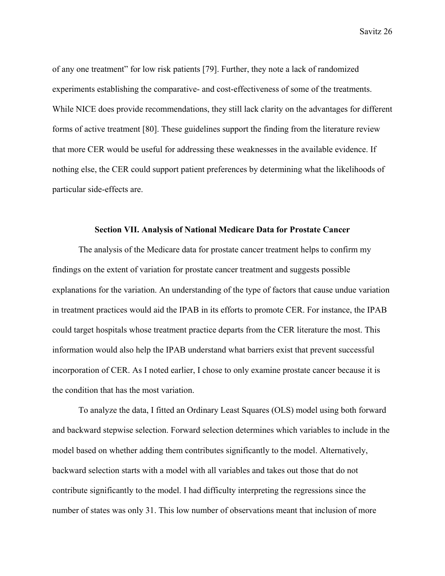of any one treatment" for low risk patients [79]. Further, they note a lack of randomized experiments establishing the comparative- and cost-effectiveness of some of the treatments. While NICE does provide recommendations, they still lack clarity on the advantages for different forms of active treatment [80]. These guidelines support the finding from the literature review that more CER would be useful for addressing these weaknesses in the available evidence. If nothing else, the CER could support patient preferences by determining what the likelihoods of particular side-effects are.

### **Section VII. Analysis of National Medicare Data for Prostate Cancer**

 The analysis of the Medicare data for prostate cancer treatment helps to confirm my findings on the extent of variation for prostate cancer treatment and suggests possible explanations for the variation. An understanding of the type of factors that cause undue variation in treatment practices would aid the IPAB in its efforts to promote CER. For instance, the IPAB could target hospitals whose treatment practice departs from the CER literature the most. This information would also help the IPAB understand what barriers exist that prevent successful incorporation of CER. As I noted earlier, I chose to only examine prostate cancer because it is the condition that has the most variation.

To analyze the data, I fitted an Ordinary Least Squares (OLS) model using both forward and backward stepwise selection. Forward selection determines which variables to include in the model based on whether adding them contributes significantly to the model. Alternatively, backward selection starts with a model with all variables and takes out those that do not contribute significantly to the model. I had difficulty interpreting the regressions since the number of states was only 31. This low number of observations meant that inclusion of more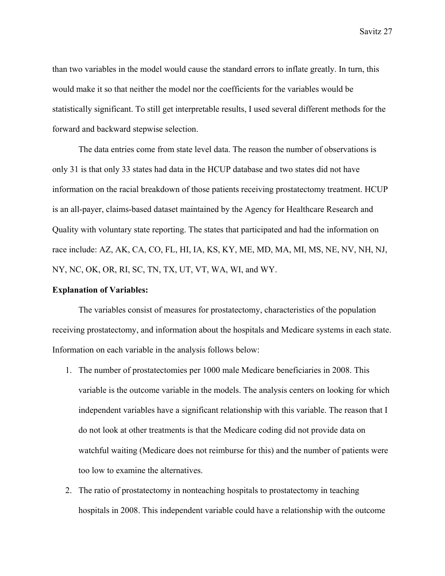than two variables in the model would cause the standard errors to inflate greatly. In turn, this would make it so that neither the model nor the coefficients for the variables would be statistically significant. To still get interpretable results, I used several different methods for the forward and backward stepwise selection.

 The data entries come from state level data. The reason the number of observations is only 31 is that only 33 states had data in the HCUP database and two states did not have information on the racial breakdown of those patients receiving prostatectomy treatment. HCUP is an all-payer, claims-based dataset maintained by the Agency for Healthcare Research and Quality with voluntary state reporting. The states that participated and had the information on race include: AZ, AK, CA, CO, FL, HI, IA, KS, KY, ME, MD, MA, MI, MS, NE, NV, NH, NJ, NY, NC, OK, OR, RI, SC, TN, TX, UT, VT, WA, WI, and WY.

#### **Explanation of Variables:**

 The variables consist of measures for prostatectomy, characteristics of the population receiving prostatectomy, and information about the hospitals and Medicare systems in each state. Information on each variable in the analysis follows below:

- 1. The number of prostatectomies per 1000 male Medicare beneficiaries in 2008. This variable is the outcome variable in the models. The analysis centers on looking for which independent variables have a significant relationship with this variable. The reason that I do not look at other treatments is that the Medicare coding did not provide data on watchful waiting (Medicare does not reimburse for this) and the number of patients were too low to examine the alternatives.
- 2. The ratio of prostatectomy in nonteaching hospitals to prostatectomy in teaching hospitals in 2008. This independent variable could have a relationship with the outcome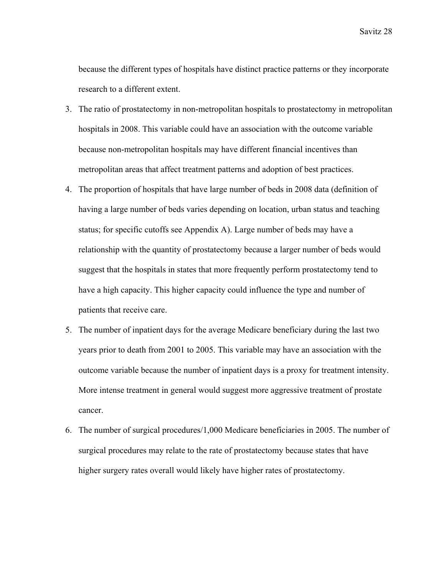because the different types of hospitals have distinct practice patterns or they incorporate research to a different extent.

- 3. The ratio of prostatectomy in non-metropolitan hospitals to prostatectomy in metropolitan hospitals in 2008. This variable could have an association with the outcome variable because non-metropolitan hospitals may have different financial incentives than metropolitan areas that affect treatment patterns and adoption of best practices.
- 4. The proportion of hospitals that have large number of beds in 2008 data (definition of having a large number of beds varies depending on location, urban status and teaching status; for specific cutoffs see Appendix A). Large number of beds may have a relationship with the quantity of prostatectomy because a larger number of beds would suggest that the hospitals in states that more frequently perform prostatectomy tend to have a high capacity. This higher capacity could influence the type and number of patients that receive care.
- 5. The number of inpatient days for the average Medicare beneficiary during the last two years prior to death from 2001 to 2005. This variable may have an association with the outcome variable because the number of inpatient days is a proxy for treatment intensity. More intense treatment in general would suggest more aggressive treatment of prostate cancer.
- 6. The number of surgical procedures/1,000 Medicare beneficiaries in 2005. The number of surgical procedures may relate to the rate of prostatectomy because states that have higher surgery rates overall would likely have higher rates of prostatectomy.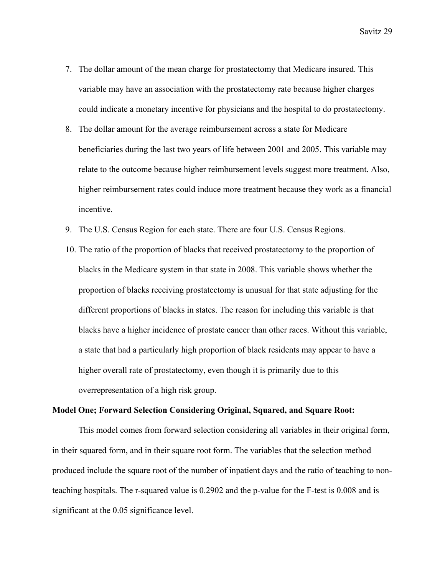- 7. The dollar amount of the mean charge for prostatectomy that Medicare insured. This variable may have an association with the prostatectomy rate because higher charges could indicate a monetary incentive for physicians and the hospital to do prostatectomy.
- 8. The dollar amount for the average reimbursement across a state for Medicare beneficiaries during the last two years of life between 2001 and 2005. This variable may relate to the outcome because higher reimbursement levels suggest more treatment. Also, higher reimbursement rates could induce more treatment because they work as a financial incentive.
- 9. The U.S. Census Region for each state. There are four U.S. Census Regions.
- 10. The ratio of the proportion of blacks that received prostatectomy to the proportion of blacks in the Medicare system in that state in 2008. This variable shows whether the proportion of blacks receiving prostatectomy is unusual for that state adjusting for the different proportions of blacks in states. The reason for including this variable is that blacks have a higher incidence of prostate cancer than other races. Without this variable, a state that had a particularly high proportion of black residents may appear to have a higher overall rate of prostatectomy, even though it is primarily due to this overrepresentation of a high risk group.

### **Model One; Forward Selection Considering Original, Squared, and Square Root:**

 This model comes from forward selection considering all variables in their original form, in their squared form, and in their square root form. The variables that the selection method produced include the square root of the number of inpatient days and the ratio of teaching to nonteaching hospitals. The r-squared value is 0.2902 and the p-value for the F-test is 0.008 and is significant at the 0.05 significance level.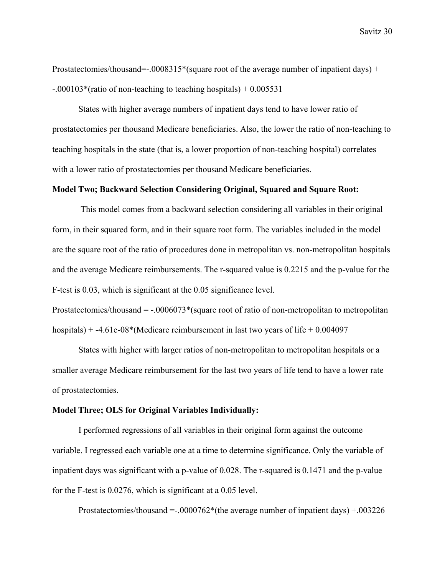Prostatectomies/thousand= $-.0008315*(square root of the average number of inpatient days) +$ -.000103\*(ratio of non-teaching to teaching hospitals) + 0.005531

 States with higher average numbers of inpatient days tend to have lower ratio of prostatectomies per thousand Medicare beneficiaries. Also, the lower the ratio of non-teaching to teaching hospitals in the state (that is, a lower proportion of non-teaching hospital) correlates with a lower ratio of prostatectomies per thousand Medicare beneficiaries.

# **Model Two; Backward Selection Considering Original, Squared and Square Root:**

 This model comes from a backward selection considering all variables in their original form, in their squared form, and in their square root form. The variables included in the model are the square root of the ratio of procedures done in metropolitan vs. non-metropolitan hospitals and the average Medicare reimbursements. The r-squared value is 0.2215 and the p-value for the F-test is 0.03, which is significant at the 0.05 significance level.

Prostatectomies/thousand  $=$  -.0006073\*(square root of ratio of non-metropolitan to metropolitan hospitals) + -4.61e-08\*(Medicare reimbursement in last two years of life + 0.004097

 States with higher with larger ratios of non-metropolitan to metropolitan hospitals or a smaller average Medicare reimbursement for the last two years of life tend to have a lower rate of prostatectomies.

#### **Model Three; OLS for Original Variables Individually:**

 I performed regressions of all variables in their original form against the outcome variable. I regressed each variable one at a time to determine significance. Only the variable of inpatient days was significant with a p-value of 0.028. The r-squared is 0.1471 and the p-value for the F-test is 0.0276, which is significant at a 0.05 level.

Prostatectomies/thousand =-.0000762\*(the average number of inpatient days) +.003226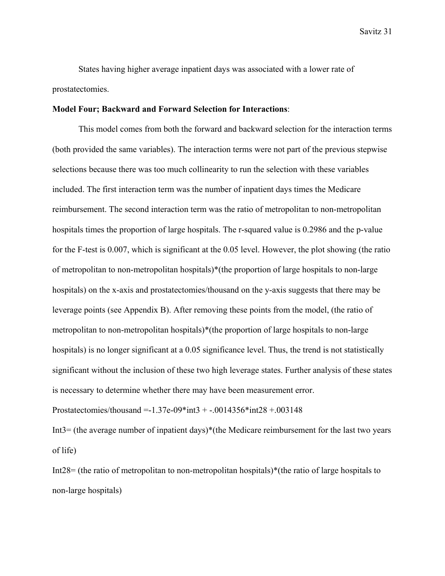States having higher average inpatient days was associated with a lower rate of prostatectomies.

#### **Model Four; Backward and Forward Selection for Interactions**:

 This model comes from both the forward and backward selection for the interaction terms (both provided the same variables). The interaction terms were not part of the previous stepwise selections because there was too much collinearity to run the selection with these variables included. The first interaction term was the number of inpatient days times the Medicare reimbursement. The second interaction term was the ratio of metropolitan to non-metropolitan hospitals times the proportion of large hospitals. The r-squared value is 0.2986 and the p-value for the F-test is 0.007, which is significant at the 0.05 level. However, the plot showing (the ratio of metropolitan to non-metropolitan hospitals)\*(the proportion of large hospitals to non-large hospitals) on the x-axis and prostatectomies/thousand on the y-axis suggests that there may be leverage points (see Appendix B). After removing these points from the model, (the ratio of metropolitan to non-metropolitan hospitals)\*(the proportion of large hospitals to non-large hospitals) is no longer significant at a 0.05 significance level. Thus, the trend is not statistically significant without the inclusion of these two high leverage states. Further analysis of these states is necessary to determine whether there may have been measurement error.

Prostatectomies/thousand =  $-1.37e-09*int3 + -0.014356*int28 + 0.03148$ 

Int3= (the average number of inpatient days)\*(the Medicare reimbursement for the last two years of life)

Int28= (the ratio of metropolitan to non-metropolitan hospitals)\*(the ratio of large hospitals to non-large hospitals)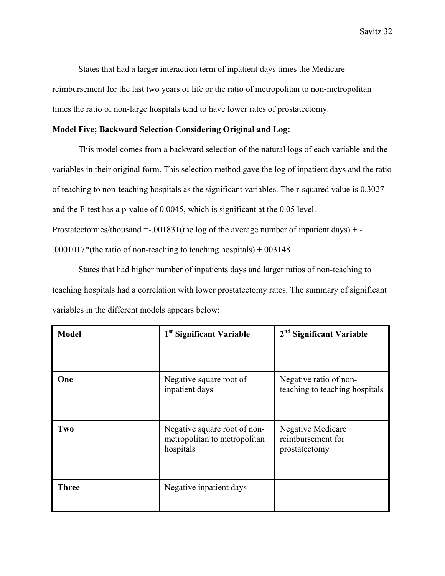States that had a larger interaction term of inpatient days times the Medicare reimbursement for the last two years of life or the ratio of metropolitan to non-metropolitan times the ratio of non-large hospitals tend to have lower rates of prostatectomy.

# **Model Five; Backward Selection Considering Original and Log:**

 This model comes from a backward selection of the natural logs of each variable and the variables in their original form. This selection method gave the log of inpatient days and the ratio of teaching to non-teaching hospitals as the significant variables. The r-squared value is 0.3027 and the F-test has a p-value of 0.0045, which is significant at the 0.05 level. Prostatectomies/thousand  $=$  -.001831(the log of the average number of inpatient days)  $+$  -.0001017\*(the ratio of non-teaching to teaching hospitals) +.003148

 States that had higher number of inpatients days and larger ratios of non-teaching to teaching hospitals had a correlation with lower prostatectomy rates. The summary of significant variables in the different models appears below:

| <b>Model</b> | 1 <sup>st</sup> Significant Variable                                      | 2 <sup>nd</sup> Significant Variable                           |
|--------------|---------------------------------------------------------------------------|----------------------------------------------------------------|
| One          | Negative square root of<br>inpatient days                                 | Negative ratio of non-<br>teaching to teaching hospitals       |
| Two          | Negative square root of non-<br>metropolitan to metropolitan<br>hospitals | <b>Negative Medicare</b><br>reimbursement for<br>prostatectomy |
| <b>Three</b> | Negative inpatient days                                                   |                                                                |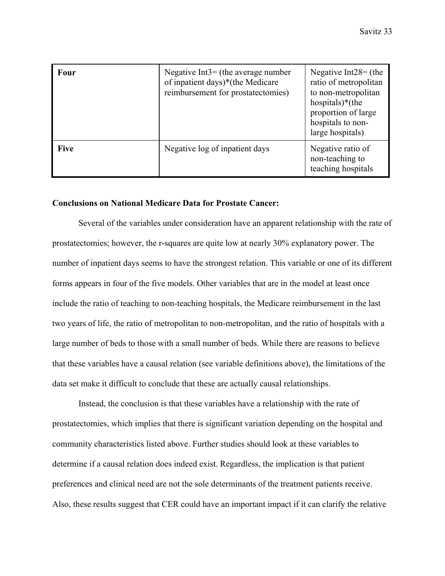| Four        | Negative Int $3 =$ (the average number<br>of inpatient days)*(the Medicare<br>reimbursement for prostatectomies) | Negative Int $28 =$ (the<br>ratio of metropolitan<br>to non-metropolitan<br>hospitals) $*($ the<br>proportion of large<br>hospitals to non-<br>large hospitals) |
|-------------|------------------------------------------------------------------------------------------------------------------|-----------------------------------------------------------------------------------------------------------------------------------------------------------------|
| <b>Five</b> | Negative log of inpatient days                                                                                   | Negative ratio of<br>non-teaching to<br>teaching hospitals                                                                                                      |

### **Conclusions on National Medicare Data for Prostate Cancer:**

 Several of the variables under consideration have an apparent relationship with the rate of prostatectomies; however, the r-squares are quite low at nearly 30% explanatory power. The number of inpatient days seems to have the strongest relation. This variable or one of its different forms appears in four of the five models. Other variables that are in the model at least once include the ratio of teaching to non-teaching hospitals, the Medicare reimbursement in the last two years of life, the ratio of metropolitan to non-metropolitan, and the ratio of hospitals with a large number of beds to those with a small number of beds. While there are reasons to believe that these variables have a causal relation (see variable definitions above), the limitations of the data set make it difficult to conclude that these are actually causal relationships.

 Instead, the conclusion is that these variables have a relationship with the rate of prostatectomies, which implies that there is significant variation depending on the hospital and community characteristics listed above. Further studies should look at these variables to determine if a causal relation does indeed exist. Regardless, the implication is that patient preferences and clinical need are not the sole determinants of the treatment patients receive. Also, these results suggest that CER could have an important impact if it can clarify the relative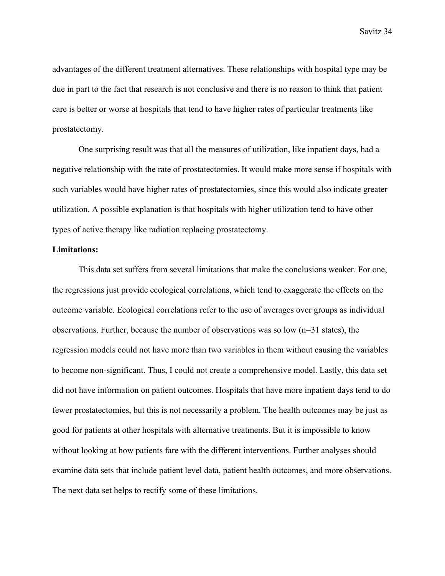advantages of the different treatment alternatives. These relationships with hospital type may be due in part to the fact that research is not conclusive and there is no reason to think that patient care is better or worse at hospitals that tend to have higher rates of particular treatments like prostatectomy.

 One surprising result was that all the measures of utilization, like inpatient days, had a negative relationship with the rate of prostatectomies. It would make more sense if hospitals with such variables would have higher rates of prostatectomies, since this would also indicate greater utilization. A possible explanation is that hospitals with higher utilization tend to have other types of active therapy like radiation replacing prostatectomy.

### **Limitations:**

 This data set suffers from several limitations that make the conclusions weaker. For one, the regressions just provide ecological correlations, which tend to exaggerate the effects on the outcome variable. Ecological correlations refer to the use of averages over groups as individual observations. Further, because the number of observations was so low  $(n=31 \text{ states})$ , the regression models could not have more than two variables in them without causing the variables to become non-significant. Thus, I could not create a comprehensive model. Lastly, this data set did not have information on patient outcomes. Hospitals that have more inpatient days tend to do fewer prostatectomies, but this is not necessarily a problem. The health outcomes may be just as good for patients at other hospitals with alternative treatments. But it is impossible to know without looking at how patients fare with the different interventions. Further analyses should examine data sets that include patient level data, patient health outcomes, and more observations. The next data set helps to rectify some of these limitations.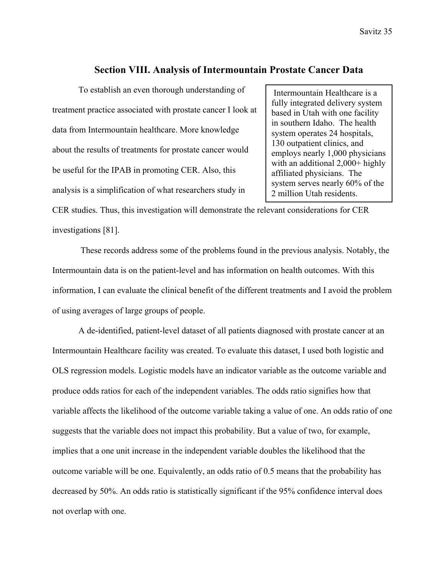# **Section VIII. Analysis of Intermountain Prostate Cancer Data**

To establish an even thorough understanding of treatment practice associated with prostate cancer I look at data from Intermountain healthcare. More knowledge about the results of treatments for prostate cancer would be useful for the IPAB in promoting CER. Also, this analysis is a simplification of what researchers study in

 Intermountain Healthcare is a fully integrated delivery system based in Utah with one facility in southern Idaho. The health system operates 24 hospitals, 130 outpatient clinics, and employs nearly 1,000 physicians with an additional 2,000+ highly affiliated physicians. The system serves nearly 60% of the 2 million Utah residents.

CER studies. Thus, this investigation will demonstrate the relevant considerations for CER investigations [81].

 These records address some of the problems found in the previous analysis. Notably, the Intermountain data is on the patient-level and has information on health outcomes. With this information, I can evaluate the clinical benefit of the different treatments and I avoid the problem of using averages of large groups of people.

A de-identified, patient-level dataset of all patients diagnosed with prostate cancer at an Intermountain Healthcare facility was created. To evaluate this dataset, I used both logistic and OLS regression models. Logistic models have an indicator variable as the outcome variable and produce odds ratios for each of the independent variables. The odds ratio signifies how that variable affects the likelihood of the outcome variable taking a value of one. An odds ratio of one suggests that the variable does not impact this probability. But a value of two, for example, implies that a one unit increase in the independent variable doubles the likelihood that the outcome variable will be one. Equivalently, an odds ratio of 0.5 means that the probability has decreased by 50%. An odds ratio is statistically significant if the 95% confidence interval does not overlap with one.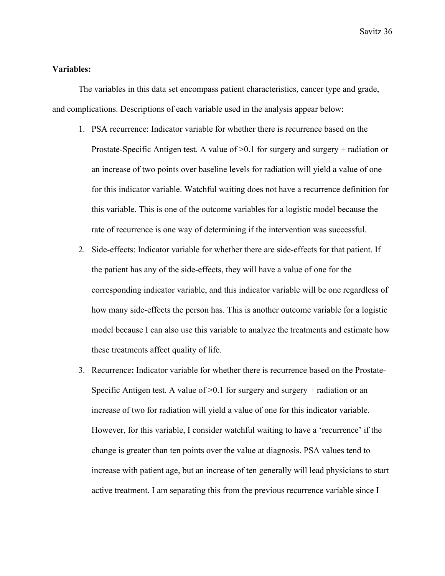### **Variables:**

The variables in this data set encompass patient characteristics, cancer type and grade, and complications. Descriptions of each variable used in the analysis appear below:

- 1. PSA recurrence: Indicator variable for whether there is recurrence based on the Prostate-Specific Antigen test. A value of  $>0.1$  for surgery and surgery + radiation or an increase of two points over baseline levels for radiation will yield a value of one for this indicator variable. Watchful waiting does not have a recurrence definition for this variable. This is one of the outcome variables for a logistic model because the rate of recurrence is one way of determining if the intervention was successful.
- 2. Side-effects: Indicator variable for whether there are side-effects for that patient. If the patient has any of the side-effects, they will have a value of one for the corresponding indicator variable, and this indicator variable will be one regardless of how many side-effects the person has. This is another outcome variable for a logistic model because I can also use this variable to analyze the treatments and estimate how these treatments affect quality of life.
- 3. Recurrence**:** Indicator variable for whether there is recurrence based on the Prostate-Specific Antigen test. A value of  $\geq 0.1$  for surgery and surgery + radiation or an increase of two for radiation will yield a value of one for this indicator variable. However, for this variable, I consider watchful waiting to have a 'recurrence' if the change is greater than ten points over the value at diagnosis. PSA values tend to increase with patient age, but an increase of ten generally will lead physicians to start active treatment. I am separating this from the previous recurrence variable since I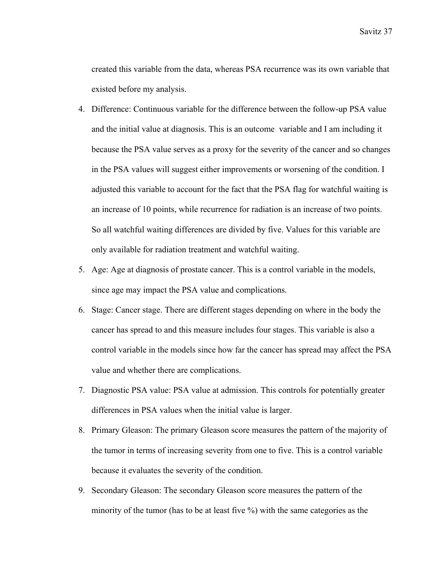created this variable from the data, whereas PSA recurrence was its own variable that existed before my analysis.

- 4. Difference: Continuous variable for the difference between the follow-up PSA value and the initial value at diagnosis. This is an outcome variable and I am including it because the PSA value serves as a proxy for the severity of the cancer and so changes in the PSA values will suggest either improvements or worsening of the condition. I adjusted this variable to account for the fact that the PSA flag for watchful waiting is an increase of 10 points, while recurrence for radiation is an increase of two points. So all watchful waiting differences are divided by five. Values for this variable are only available for radiation treatment and watchful waiting.
- 5. Age: Age at diagnosis of prostate cancer. This is a control variable in the models, since age may impact the PSA value and complications.
- 6. Stage: Cancer stage. There are different stages depending on where in the body the cancer has spread to and this measure includes four stages. This variable is also a control variable in the models since how far the cancer has spread may affect the PSA value and whether there are complications.
- 7. Diagnostic PSA value: PSA value at admission. This controls for potentially greater differences in PSA values when the initial value is larger.
- 8. Primary Gleason: The primary Gleason score measures the pattern of the majority of the tumor in terms of increasing severity from one to five. This is a control variable because it evaluates the severity of the condition.
- 9. Secondary Gleason: The secondary Gleason score measures the pattern of the minority of the tumor (has to be at least five %) with the same categories as the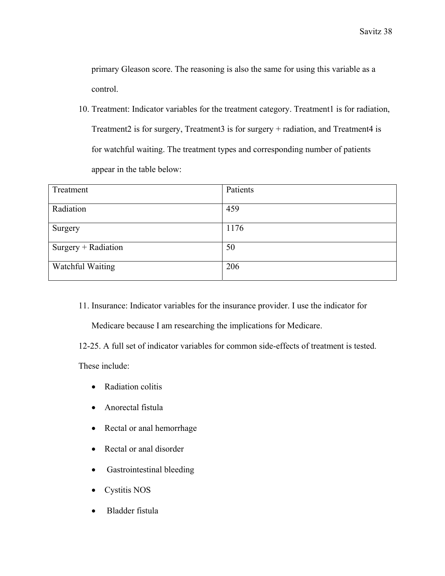primary Gleason score. The reasoning is also the same for using this variable as a control.

10. Treatment: Indicator variables for the treatment category. Treatment1 is for radiation, Treatment2 is for surgery, Treatment3 is for surgery + radiation, and Treatment4 is for watchful waiting. The treatment types and corresponding number of patients appear in the table below:

| Treatment           | Patients |
|---------------------|----------|
| Radiation           | 459      |
| Surgery             | 1176     |
| Surgery + Radiation | 50       |
| Watchful Waiting    | 206      |

11. Insurance: Indicator variables for the insurance provider. I use the indicator for

Medicare because I am researching the implications for Medicare.

12-25. A full set of indicator variables for common side-effects of treatment is tested.

These include:

- Radiation colitis
- Anorectal fistula
- Rectal or anal hemorrhage
- Rectal or anal disorder
- Gastrointestinal bleeding
- Cystitis NOS
- Bladder fistula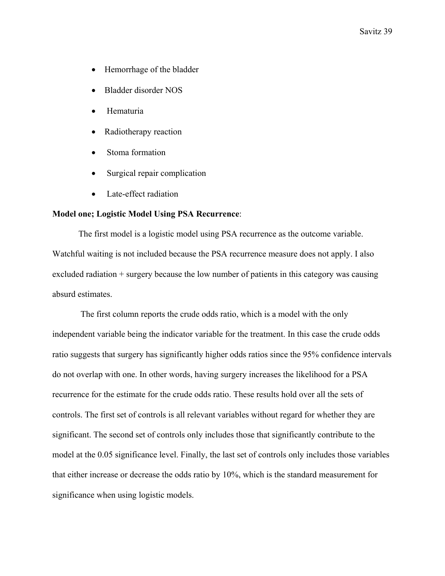- Hemorrhage of the bladder
- Bladder disorder NOS
- Hematuria
- Radiotherapy reaction
- Stoma formation
- Surgical repair complication
- Late-effect radiation

### **Model one; Logistic Model Using PSA Recurrence**:

 The first model is a logistic model using PSA recurrence as the outcome variable. Watchful waiting is not included because the PSA recurrence measure does not apply. I also excluded radiation + surgery because the low number of patients in this category was causing absurd estimates.

 The first column reports the crude odds ratio, which is a model with the only independent variable being the indicator variable for the treatment. In this case the crude odds ratio suggests that surgery has significantly higher odds ratios since the 95% confidence intervals do not overlap with one. In other words, having surgery increases the likelihood for a PSA recurrence for the estimate for the crude odds ratio. These results hold over all the sets of controls. The first set of controls is all relevant variables without regard for whether they are significant. The second set of controls only includes those that significantly contribute to the model at the 0.05 significance level. Finally, the last set of controls only includes those variables that either increase or decrease the odds ratio by 10%, which is the standard measurement for significance when using logistic models.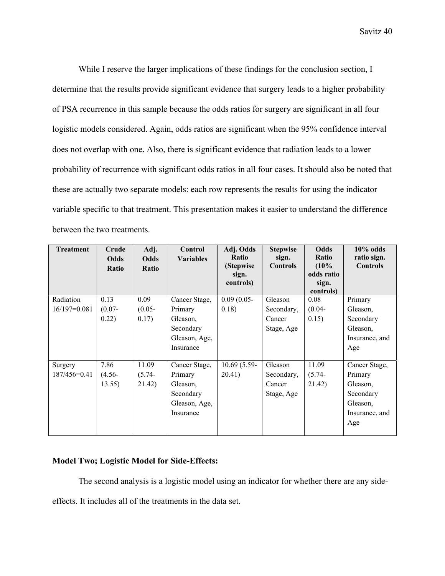While I reserve the larger implications of these findings for the conclusion section, I determine that the results provide significant evidence that surgery leads to a higher probability of PSA recurrence in this sample because the odds ratios for surgery are significant in all four logistic models considered. Again, odds ratios are significant when the 95% confidence interval does not overlap with one. Also, there is significant evidence that radiation leads to a lower probability of recurrence with significant odds ratios in all four cases. It should also be noted that these are actually two separate models: each row represents the results for using the indicator variable specific to that treatment. This presentation makes it easier to understand the difference between the two treatments.

| <b>Treatment</b> | Crude        | Adj.         | Control          | Adj. Odds     | <b>Stepwise</b> | Odds               | $10\%$ odds     |
|------------------|--------------|--------------|------------------|---------------|-----------------|--------------------|-----------------|
|                  | Odds         | <b>Odds</b>  | <b>Variables</b> | Ratio         | sign.           | Ratio              | ratio sign.     |
|                  | <b>Ratio</b> | <b>Ratio</b> |                  | (Stepwise     | <b>Controls</b> | (10%               | <b>Controls</b> |
|                  |              |              |                  | sign.         |                 | odds ratio         |                 |
|                  |              |              |                  | controls)     |                 | sign.<br>controls) |                 |
| Radiation        | 0.13         | 0.09         | Cancer Stage,    | $0.09(0.05 -$ | Gleason         | 0.08               | Primary         |
| $16/197=0.081$   | $(0.07 -$    | $(0.05 -$    | Primary          | 0.18)         | Secondary,      | $(0.04 -$          | Gleason.        |
|                  | 0.22)        | 0.17)        | Gleason,         |               | Cancer          | 0.15)              | Secondary       |
|                  |              |              | Secondary        |               | Stage, Age      |                    | Gleason,        |
|                  |              |              | Gleason, Age,    |               |                 |                    | Insurance, and  |
|                  |              |              | Insurance        |               |                 |                    | Age             |
|                  |              |              |                  |               |                 |                    |                 |
| Surgery          | 7.86         | 11.09        | Cancer Stage,    | $10.69(5.59-$ | Gleason         | 11.09              | Cancer Stage,   |
| $187/456 = 0.41$ | $(4.56 -$    | $(5.74 -$    | Primary          | 20.41)        | Secondary,      | $(5.74 -$          | Primary         |
|                  | 13.55)       | 21.42)       | Gleason,         |               | Cancer          | 21.42)             | Gleason,        |
|                  |              |              | Secondary        |               | Stage, Age      |                    | Secondary       |
|                  |              |              | Gleason, Age,    |               |                 |                    | Gleason,        |
|                  |              |              | Insurance        |               |                 |                    | Insurance, and  |
|                  |              |              |                  |               |                 |                    | Age             |
|                  |              |              |                  |               |                 |                    |                 |

# **Model Two; Logistic Model for Side-Effects:**

The second analysis is a logistic model using an indicator for whether there are any side-

effects. It includes all of the treatments in the data set.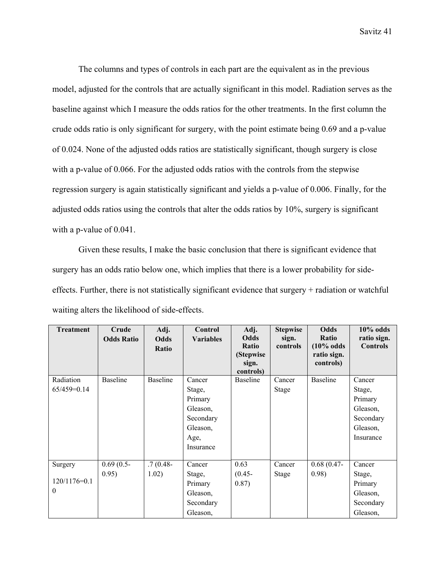The columns and types of controls in each part are the equivalent as in the previous model, adjusted for the controls that are actually significant in this model. Radiation serves as the baseline against which I measure the odds ratios for the other treatments. In the first column the crude odds ratio is only significant for surgery, with the point estimate being 0.69 and a p-value of 0.024. None of the adjusted odds ratios are statistically significant, though surgery is close with a p-value of 0.066. For the adjusted odds ratios with the controls from the stepwise regression surgery is again statistically significant and yields a p-value of 0.006. Finally, for the adjusted odds ratios using the controls that alter the odds ratios by 10%, surgery is significant with a p-value of 0.041.

 Given these results, I make the basic conclusion that there is significant evidence that surgery has an odds ratio below one, which implies that there is a lower probability for sideeffects. Further, there is not statistically significant evidence that surgery + radiation or watchful waiting alters the likelihood of side-effects.

| <b>Treatment</b> | Crude<br><b>Odds Ratio</b> | Adj.<br>Odds<br>Ratio | Control<br><b>Variables</b> | Adj.<br>Odds<br><b>Ratio</b><br>(Stepwise<br>sign.<br>controls) | <b>Stepwise</b><br>sign.<br>controls | <b>Odds</b><br>Ratio<br>$(10\% \text{ odds})$<br>ratio sign.<br>controls) | $10\%$ odds<br>ratio sign.<br><b>Controls</b> |
|------------------|----------------------------|-----------------------|-----------------------------|-----------------------------------------------------------------|--------------------------------------|---------------------------------------------------------------------------|-----------------------------------------------|
| Radiation        | <b>Baseline</b>            | <b>Baseline</b>       | Cancer                      | Baseline                                                        | Cancer                               | <b>Baseline</b>                                                           | Cancer                                        |
| $65/459=0.14$    |                            |                       | Stage,                      |                                                                 | <b>Stage</b>                         |                                                                           | Stage,                                        |
|                  |                            |                       | Primary                     |                                                                 |                                      |                                                                           | Primary                                       |
|                  |                            |                       | Gleason,                    |                                                                 |                                      |                                                                           | Gleason,                                      |
|                  |                            |                       | Secondary                   |                                                                 |                                      |                                                                           | Secondary                                     |
|                  |                            |                       | Gleason,                    |                                                                 |                                      |                                                                           | Gleason,                                      |
|                  |                            |                       | Age,                        |                                                                 |                                      |                                                                           | Insurance                                     |
|                  |                            |                       | Insurance                   |                                                                 |                                      |                                                                           |                                               |
|                  |                            |                       |                             |                                                                 |                                      |                                                                           |                                               |
| Surgery          | $0.69(0.5 -$               | $.7(0.48 -$           | Cancer                      | 0.63                                                            | Cancer                               | $0.68(0.47-$                                                              | Cancer                                        |
|                  | 0.95)                      | 1.02)                 | Stage,                      | $(0.45 -$                                                       | <b>Stage</b>                         | 0.98)                                                                     | Stage,                                        |
| 120/1176=0.1     |                            |                       | Primary                     | 0.87)                                                           |                                      |                                                                           | Primary                                       |
| $\theta$         |                            |                       | Gleason,                    |                                                                 |                                      |                                                                           | Gleason,                                      |
|                  |                            |                       | Secondary                   |                                                                 |                                      |                                                                           | Secondary                                     |
|                  |                            |                       | Gleason,                    |                                                                 |                                      |                                                                           | Gleason,                                      |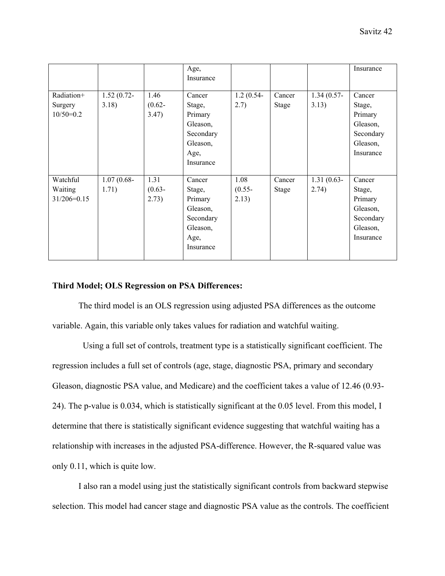|                                        |                        |                            | Age,<br>Insurance                                                                     |                            |                        |                        | Insurance                                                                     |
|----------------------------------------|------------------------|----------------------------|---------------------------------------------------------------------------------------|----------------------------|------------------------|------------------------|-------------------------------------------------------------------------------|
| Radiation+<br>Surgery<br>$10/50=0.2$   | $1.52(0.72 -$<br>3.18) | 1.46<br>$(0.62 -$<br>3.47) | Cancer<br>Stage,<br>Primary<br>Gleason,<br>Secondary<br>Gleason,<br>Age,<br>Insurance | $1.2(0.54 -$<br>2.7)       | Cancer<br><b>Stage</b> | $1.34(0.57-$<br>3.13)  | Cancer<br>Stage,<br>Primary<br>Gleason,<br>Secondary<br>Gleason,<br>Insurance |
| Watchful<br>Waiting<br>$31/206 = 0.15$ | $1.07(0.68 -$<br>1.71) | 1.31<br>$(0.63 -$<br>2.73) | Cancer<br>Stage,<br>Primary<br>Gleason,<br>Secondary<br>Gleason,<br>Age,<br>Insurance | 1.08<br>$(0.55 -$<br>2.13) | Cancer<br><b>Stage</b> | $1.31(0.63 -$<br>2.74) | Cancer<br>Stage,<br>Primary<br>Gleason,<br>Secondary<br>Gleason,<br>Insurance |

## **Third Model; OLS Regression on PSA Differences:**

The third model is an OLS regression using adjusted PSA differences as the outcome variable. Again, this variable only takes values for radiation and watchful waiting.

 Using a full set of controls, treatment type is a statistically significant coefficient. The regression includes a full set of controls (age, stage, diagnostic PSA, primary and secondary Gleason, diagnostic PSA value, and Medicare) and the coefficient takes a value of 12.46 (0.93- 24). The p-value is 0.034, which is statistically significant at the 0.05 level. From this model, I determine that there is statistically significant evidence suggesting that watchful waiting has a relationship with increases in the adjusted PSA-difference. However, the R-squared value was only 0.11, which is quite low.

 I also ran a model using just the statistically significant controls from backward stepwise selection. This model had cancer stage and diagnostic PSA value as the controls. The coefficient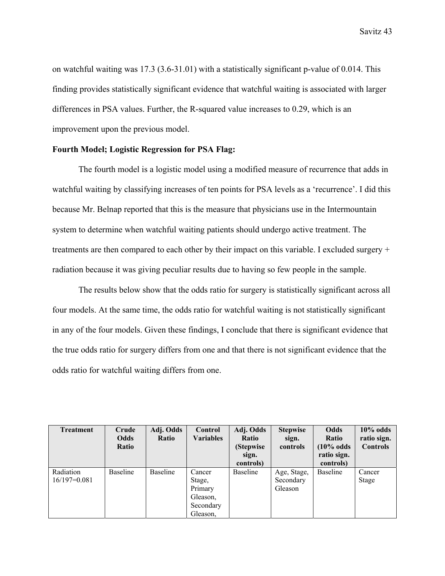on watchful waiting was 17.3 (3.6-31.01) with a statistically significant p-value of 0.014. This finding provides statistically significant evidence that watchful waiting is associated with larger differences in PSA values. Further, the R-squared value increases to 0.29, which is an improvement upon the previous model.

# **Fourth Model; Logistic Regression for PSA Flag:**

The fourth model is a logistic model using a modified measure of recurrence that adds in watchful waiting by classifying increases of ten points for PSA levels as a 'recurrence'. I did this because Mr. Belnap reported that this is the measure that physicians use in the Intermountain system to determine when watchful waiting patients should undergo active treatment. The treatments are then compared to each other by their impact on this variable. I excluded surgery + radiation because it was giving peculiar results due to having so few people in the sample.

 The results below show that the odds ratio for surgery is statistically significant across all four models. At the same time, the odds ratio for watchful waiting is not statistically significant in any of the four models. Given these findings, I conclude that there is significant evidence that the true odds ratio for surgery differs from one and that there is not significant evidence that the odds ratio for watchful waiting differs from one.

| <b>Treatment</b>            | Crude<br><b>Odds</b><br>Ratio | Adj. Odds<br>Ratio | Control<br><b>Variables</b>                                      | Adj. Odds<br><b>Ratio</b><br>(Stepwise)<br>sign.<br>controls) | <b>Stepwise</b><br>sign.<br>controls | Odds<br>Ratio<br>$(10\% \text{ odds})$<br>ratio sign.<br>controls) | $10\%$ odds<br>ratio sign.<br><b>Controls</b> |
|-----------------------------|-------------------------------|--------------------|------------------------------------------------------------------|---------------------------------------------------------------|--------------------------------------|--------------------------------------------------------------------|-----------------------------------------------|
| Radiation<br>$16/197=0.081$ | Baseline                      | <b>Baseline</b>    | Cancer<br>Stage,<br>Primary<br>Gleason,<br>Secondary<br>Gleason, | <b>Baseline</b>                                               | Age, Stage,<br>Secondary<br>Gleason  | <b>Baseline</b>                                                    | Cancer<br>Stage                               |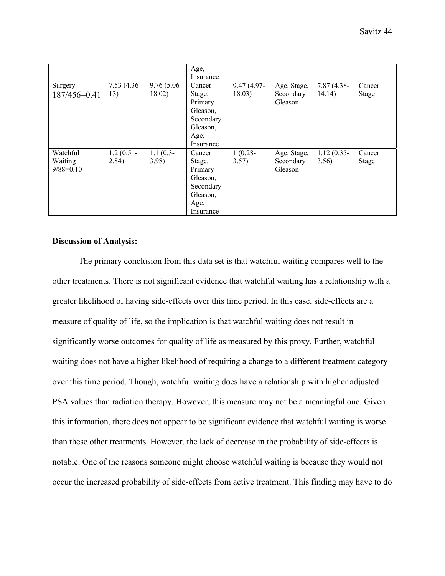|                                    |                       |                         | Age,<br>Insurance                                                                     |                         |                                     |                         |                 |
|------------------------------------|-----------------------|-------------------------|---------------------------------------------------------------------------------------|-------------------------|-------------------------------------|-------------------------|-----------------|
| Surgery<br>187/456=0.41            | $7.53(4.36 -$<br>13)  | $9.76(5.06 -$<br>18.02) | Cancer<br>Stage,<br>Primary<br>Gleason,<br>Secondary<br>Gleason,<br>Age,              | $9.47(4.97 -$<br>18.03) | Age, Stage,<br>Secondary<br>Gleason | $7.87(4.38 -$<br>14.14) | Cancer<br>Stage |
|                                    |                       |                         | Insurance                                                                             |                         |                                     |                         |                 |
| Watchful<br>Waiting<br>$9/88=0.10$ | $1.2(0.51 -$<br>2.84) | $1.1(0.3-$<br>3.98      | Cancer<br>Stage,<br>Primary<br>Gleason,<br>Secondary<br>Gleason,<br>Age,<br>Insurance | $1(0.28 -$<br>3.57)     | Age, Stage,<br>Secondary<br>Gleason | $1.12(0.35 -$<br>3.56)  | Cancer<br>Stage |

## **Discussion of Analysis:**

 The primary conclusion from this data set is that watchful waiting compares well to the other treatments. There is not significant evidence that watchful waiting has a relationship with a greater likelihood of having side-effects over this time period. In this case, side-effects are a measure of quality of life, so the implication is that watchful waiting does not result in significantly worse outcomes for quality of life as measured by this proxy. Further, watchful waiting does not have a higher likelihood of requiring a change to a different treatment category over this time period. Though, watchful waiting does have a relationship with higher adjusted PSA values than radiation therapy. However, this measure may not be a meaningful one. Given this information, there does not appear to be significant evidence that watchful waiting is worse than these other treatments. However, the lack of decrease in the probability of side-effects is notable. One of the reasons someone might choose watchful waiting is because they would not occur the increased probability of side-effects from active treatment. This finding may have to do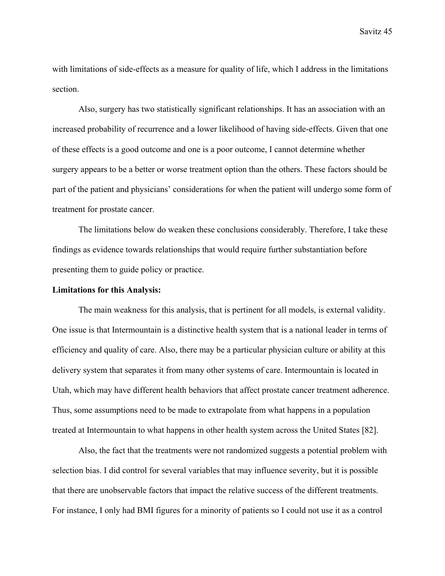with limitations of side-effects as a measure for quality of life, which I address in the limitations section.

 Also, surgery has two statistically significant relationships. It has an association with an increased probability of recurrence and a lower likelihood of having side-effects. Given that one of these effects is a good outcome and one is a poor outcome, I cannot determine whether surgery appears to be a better or worse treatment option than the others. These factors should be part of the patient and physicians' considerations for when the patient will undergo some form of treatment for prostate cancer.

The limitations below do weaken these conclusions considerably. Therefore, I take these findings as evidence towards relationships that would require further substantiation before presenting them to guide policy or practice.

## **Limitations for this Analysis:**

 The main weakness for this analysis, that is pertinent for all models, is external validity. One issue is that Intermountain is a distinctive health system that is a national leader in terms of efficiency and quality of care. Also, there may be a particular physician culture or ability at this delivery system that separates it from many other systems of care. Intermountain is located in Utah, which may have different health behaviors that affect prostate cancer treatment adherence. Thus, some assumptions need to be made to extrapolate from what happens in a population treated at Intermountain to what happens in other health system across the United States [82].

 Also, the fact that the treatments were not randomized suggests a potential problem with selection bias. I did control for several variables that may influence severity, but it is possible that there are unobservable factors that impact the relative success of the different treatments. For instance, I only had BMI figures for a minority of patients so I could not use it as a control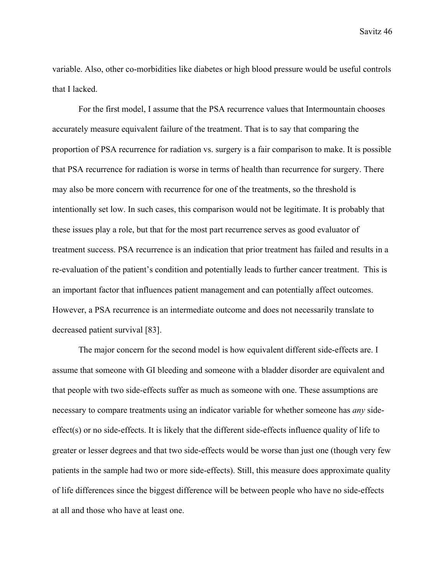variable. Also, other co-morbidities like diabetes or high blood pressure would be useful controls that I lacked.

For the first model, I assume that the PSA recurrence values that Intermountain chooses accurately measure equivalent failure of the treatment. That is to say that comparing the proportion of PSA recurrence for radiation vs. surgery is a fair comparison to make. It is possible that PSA recurrence for radiation is worse in terms of health than recurrence for surgery. There may also be more concern with recurrence for one of the treatments, so the threshold is intentionally set low. In such cases, this comparison would not be legitimate. It is probably that these issues play a role, but that for the most part recurrence serves as good evaluator of treatment success. PSA recurrence is an indication that prior treatment has failed and results in a re-evaluation of the patient's condition and potentially leads to further cancer treatment. This is an important factor that influences patient management and can potentially affect outcomes. However, a PSA recurrence is an intermediate outcome and does not necessarily translate to decreased patient survival [83].

 The major concern for the second model is how equivalent different side-effects are. I assume that someone with GI bleeding and someone with a bladder disorder are equivalent and that people with two side-effects suffer as much as someone with one. These assumptions are necessary to compare treatments using an indicator variable for whether someone has *any* sideeffect(s) or no side-effects. It is likely that the different side-effects influence quality of life to greater or lesser degrees and that two side-effects would be worse than just one (though very few patients in the sample had two or more side-effects). Still, this measure does approximate quality of life differences since the biggest difference will be between people who have no side-effects at all and those who have at least one.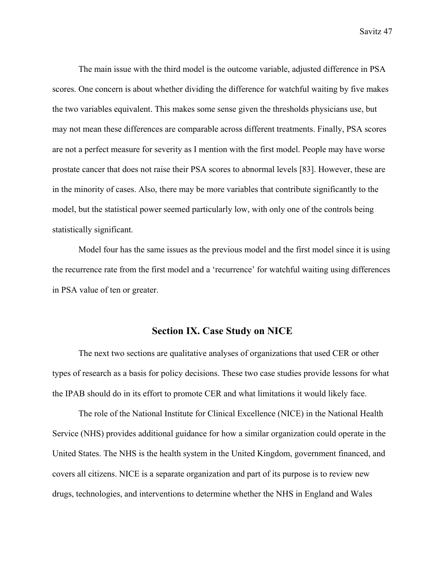The main issue with the third model is the outcome variable, adjusted difference in PSA scores. One concern is about whether dividing the difference for watchful waiting by five makes the two variables equivalent. This makes some sense given the thresholds physicians use, but may not mean these differences are comparable across different treatments. Finally, PSA scores are not a perfect measure for severity as I mention with the first model. People may have worse prostate cancer that does not raise their PSA scores to abnormal levels [83]. However, these are in the minority of cases. Also, there may be more variables that contribute significantly to the model, but the statistical power seemed particularly low, with only one of the controls being statistically significant.

Model four has the same issues as the previous model and the first model since it is using the recurrence rate from the first model and a 'recurrence' for watchful waiting using differences in PSA value of ten or greater.

## **Section IX. Case Study on NICE**

The next two sections are qualitative analyses of organizations that used CER or other types of research as a basis for policy decisions. These two case studies provide lessons for what the IPAB should do in its effort to promote CER and what limitations it would likely face.

The role of the National Institute for Clinical Excellence (NICE) in the National Health Service (NHS) provides additional guidance for how a similar organization could operate in the United States. The NHS is the health system in the United Kingdom, government financed, and covers all citizens. NICE is a separate organization and part of its purpose is to review new drugs, technologies, and interventions to determine whether the NHS in England and Wales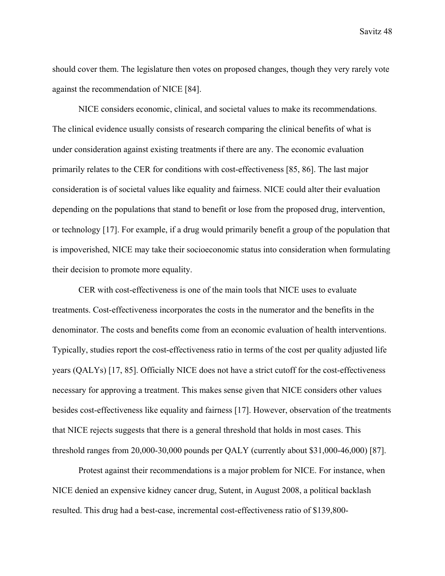should cover them. The legislature then votes on proposed changes, though they very rarely vote against the recommendation of NICE [84].

 NICE considers economic, clinical, and societal values to make its recommendations. The clinical evidence usually consists of research comparing the clinical benefits of what is under consideration against existing treatments if there are any. The economic evaluation primarily relates to the CER for conditions with cost-effectiveness [85, 86]. The last major consideration is of societal values like equality and fairness. NICE could alter their evaluation depending on the populations that stand to benefit or lose from the proposed drug, intervention, or technology [17]. For example, if a drug would primarily benefit a group of the population that is impoverished, NICE may take their socioeconomic status into consideration when formulating their decision to promote more equality.

 CER with cost-effectiveness is one of the main tools that NICE uses to evaluate treatments. Cost-effectiveness incorporates the costs in the numerator and the benefits in the denominator. The costs and benefits come from an economic evaluation of health interventions. Typically, studies report the cost-effectiveness ratio in terms of the cost per quality adjusted life years (QALYs) [17, 85]. Officially NICE does not have a strict cutoff for the cost-effectiveness necessary for approving a treatment. This makes sense given that NICE considers other values besides cost-effectiveness like equality and fairness [17]. However, observation of the treatments that NICE rejects suggests that there is a general threshold that holds in most cases. This threshold ranges from 20,000-30,000 pounds per QALY (currently about \$31,000-46,000) [87].

 Protest against their recommendations is a major problem for NICE. For instance, when NICE denied an expensive kidney cancer drug, Sutent, in August 2008, a political backlash resulted. This drug had a best-case, incremental cost-effectiveness ratio of \$139,800-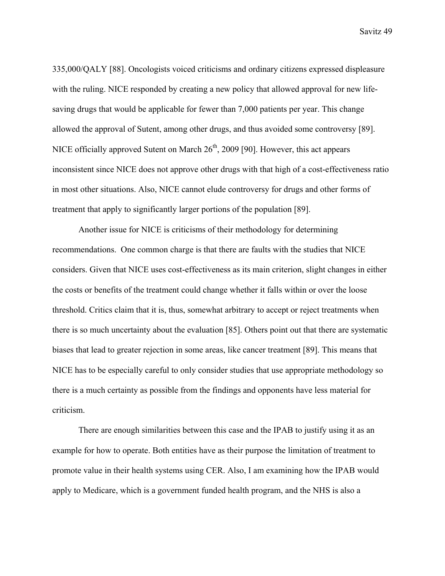335,000/QALY [88]. Oncologists voiced criticisms and ordinary citizens expressed displeasure with the ruling. NICE responded by creating a new policy that allowed approval for new lifesaving drugs that would be applicable for fewer than 7,000 patients per year. This change allowed the approval of Sutent, among other drugs, and thus avoided some controversy [89]. NICE officially approved Sutent on March  $26<sup>th</sup>$ , 2009 [90]. However, this act appears inconsistent since NICE does not approve other drugs with that high of a cost-effectiveness ratio in most other situations. Also, NICE cannot elude controversy for drugs and other forms of treatment that apply to significantly larger portions of the population [89].

 Another issue for NICE is criticisms of their methodology for determining recommendations. One common charge is that there are faults with the studies that NICE considers. Given that NICE uses cost-effectiveness as its main criterion, slight changes in either the costs or benefits of the treatment could change whether it falls within or over the loose threshold. Critics claim that it is, thus, somewhat arbitrary to accept or reject treatments when there is so much uncertainty about the evaluation [85]. Others point out that there are systematic biases that lead to greater rejection in some areas, like cancer treatment [89]. This means that NICE has to be especially careful to only consider studies that use appropriate methodology so there is a much certainty as possible from the findings and opponents have less material for criticism.

 There are enough similarities between this case and the IPAB to justify using it as an example for how to operate. Both entities have as their purpose the limitation of treatment to promote value in their health systems using CER. Also, I am examining how the IPAB would apply to Medicare, which is a government funded health program, and the NHS is also a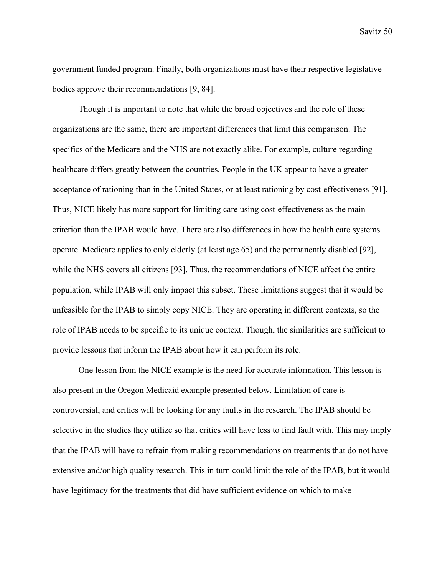government funded program. Finally, both organizations must have their respective legislative bodies approve their recommendations [9, 84].

Though it is important to note that while the broad objectives and the role of these organizations are the same, there are important differences that limit this comparison. The specifics of the Medicare and the NHS are not exactly alike. For example, culture regarding healthcare differs greatly between the countries. People in the UK appear to have a greater acceptance of rationing than in the United States, or at least rationing by cost-effectiveness [91]. Thus, NICE likely has more support for limiting care using cost-effectiveness as the main criterion than the IPAB would have. There are also differences in how the health care systems operate. Medicare applies to only elderly (at least age 65) and the permanently disabled [92], while the NHS covers all citizens [93]. Thus, the recommendations of NICE affect the entire population, while IPAB will only impact this subset. These limitations suggest that it would be unfeasible for the IPAB to simply copy NICE. They are operating in different contexts, so the role of IPAB needs to be specific to its unique context. Though, the similarities are sufficient to provide lessons that inform the IPAB about how it can perform its role.

One lesson from the NICE example is the need for accurate information. This lesson is also present in the Oregon Medicaid example presented below. Limitation of care is controversial, and critics will be looking for any faults in the research. The IPAB should be selective in the studies they utilize so that critics will have less to find fault with. This may imply that the IPAB will have to refrain from making recommendations on treatments that do not have extensive and/or high quality research. This in turn could limit the role of the IPAB, but it would have legitimacy for the treatments that did have sufficient evidence on which to make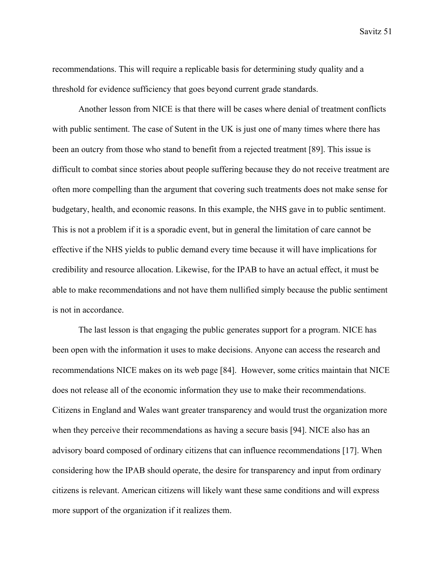recommendations. This will require a replicable basis for determining study quality and a threshold for evidence sufficiency that goes beyond current grade standards.

Another lesson from NICE is that there will be cases where denial of treatment conflicts with public sentiment. The case of Sutent in the UK is just one of many times where there has been an outcry from those who stand to benefit from a rejected treatment [89]. This issue is difficult to combat since stories about people suffering because they do not receive treatment are often more compelling than the argument that covering such treatments does not make sense for budgetary, health, and economic reasons. In this example, the NHS gave in to public sentiment. This is not a problem if it is a sporadic event, but in general the limitation of care cannot be effective if the NHS yields to public demand every time because it will have implications for credibility and resource allocation. Likewise, for the IPAB to have an actual effect, it must be able to make recommendations and not have them nullified simply because the public sentiment is not in accordance.

 The last lesson is that engaging the public generates support for a program. NICE has been open with the information it uses to make decisions. Anyone can access the research and recommendations NICE makes on its web page [84]. However, some critics maintain that NICE does not release all of the economic information they use to make their recommendations. Citizens in England and Wales want greater transparency and would trust the organization more when they perceive their recommendations as having a secure basis [94]. NICE also has an advisory board composed of ordinary citizens that can influence recommendations [17]. When considering how the IPAB should operate, the desire for transparency and input from ordinary citizens is relevant. American citizens will likely want these same conditions and will express more support of the organization if it realizes them.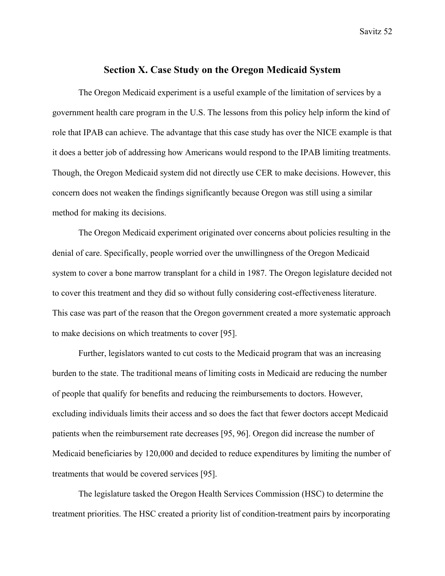# **Section X. Case Study on the Oregon Medicaid System**

 The Oregon Medicaid experiment is a useful example of the limitation of services by a government health care program in the U.S. The lessons from this policy help inform the kind of role that IPAB can achieve. The advantage that this case study has over the NICE example is that it does a better job of addressing how Americans would respond to the IPAB limiting treatments. Though, the Oregon Medicaid system did not directly use CER to make decisions. However, this concern does not weaken the findings significantly because Oregon was still using a similar method for making its decisions.

 The Oregon Medicaid experiment originated over concerns about policies resulting in the denial of care. Specifically, people worried over the unwillingness of the Oregon Medicaid system to cover a bone marrow transplant for a child in 1987. The Oregon legislature decided not to cover this treatment and they did so without fully considering cost-effectiveness literature. This case was part of the reason that the Oregon government created a more systematic approach to make decisions on which treatments to cover [95].

 Further, legislators wanted to cut costs to the Medicaid program that was an increasing burden to the state. The traditional means of limiting costs in Medicaid are reducing the number of people that qualify for benefits and reducing the reimbursements to doctors. However, excluding individuals limits their access and so does the fact that fewer doctors accept Medicaid patients when the reimbursement rate decreases [95, 96]. Oregon did increase the number of Medicaid beneficiaries by 120,000 and decided to reduce expenditures by limiting the number of treatments that would be covered services [95].

 The legislature tasked the Oregon Health Services Commission (HSC) to determine the treatment priorities. The HSC created a priority list of condition-treatment pairs by incorporating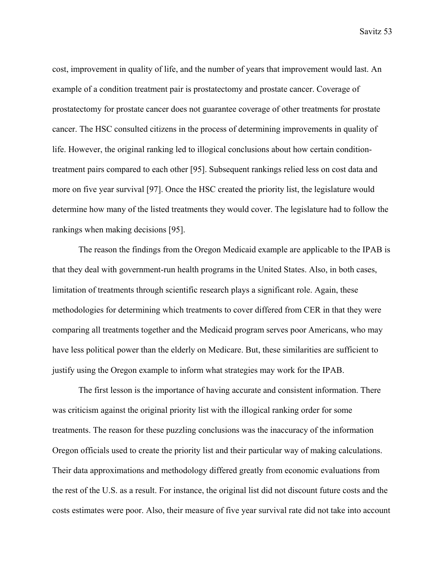cost, improvement in quality of life, and the number of years that improvement would last. An example of a condition treatment pair is prostatectomy and prostate cancer. Coverage of prostatectomy for prostate cancer does not guarantee coverage of other treatments for prostate cancer. The HSC consulted citizens in the process of determining improvements in quality of life. However, the original ranking led to illogical conclusions about how certain conditiontreatment pairs compared to each other [95]. Subsequent rankings relied less on cost data and more on five year survival [97]. Once the HSC created the priority list, the legislature would determine how many of the listed treatments they would cover. The legislature had to follow the rankings when making decisions [95].

 The reason the findings from the Oregon Medicaid example are applicable to the IPAB is that they deal with government-run health programs in the United States. Also, in both cases, limitation of treatments through scientific research plays a significant role. Again, these methodologies for determining which treatments to cover differed from CER in that they were comparing all treatments together and the Medicaid program serves poor Americans, who may have less political power than the elderly on Medicare. But, these similarities are sufficient to justify using the Oregon example to inform what strategies may work for the IPAB.

 The first lesson is the importance of having accurate and consistent information. There was criticism against the original priority list with the illogical ranking order for some treatments. The reason for these puzzling conclusions was the inaccuracy of the information Oregon officials used to create the priority list and their particular way of making calculations. Their data approximations and methodology differed greatly from economic evaluations from the rest of the U.S. as a result. For instance, the original list did not discount future costs and the costs estimates were poor. Also, their measure of five year survival rate did not take into account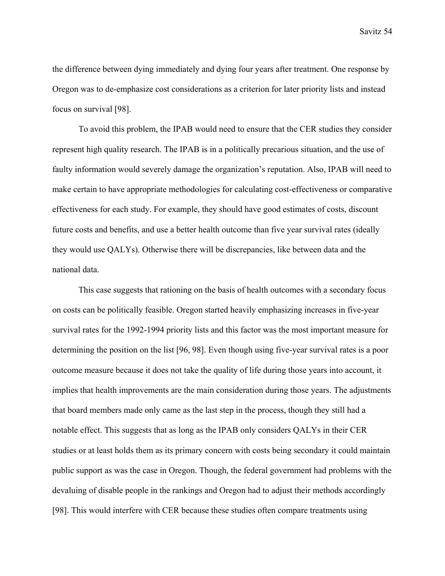the difference between dying immediately and dying four years after treatment. One response by Oregon was to de-emphasize cost considerations as a criterion for later priority lists and instead focus on survival [98].

 To avoid this problem, the IPAB would need to ensure that the CER studies they consider represent high quality research. The IPAB is in a politically precarious situation, and the use of faulty information would severely damage the organization's reputation. Also, IPAB will need to make certain to have appropriate methodologies for calculating cost-effectiveness or comparative effectiveness for each study. For example, they should have good estimates of costs, discount future costs and benefits, and use a better health outcome than five year survival rates (ideally they would use QALYs). Otherwise there will be discrepancies, like between data and the national data.

 This case suggests that rationing on the basis of health outcomes with a secondary focus on costs can be politically feasible. Oregon started heavily emphasizing increases in five-year survival rates for the 1992-1994 priority lists and this factor was the most important measure for determining the position on the list [96, 98]. Even though using five-year survival rates is a poor outcome measure because it does not take the quality of life during those years into account, it implies that health improvements are the main consideration during those years. The adjustments that board members made only came as the last step in the process, though they still had a notable effect. This suggests that as long as the IPAB only considers QALYs in their CER studies or at least holds them as its primary concern with costs being secondary it could maintain public support as was the case in Oregon. Though, the federal government had problems with the devaluing of disable people in the rankings and Oregon had to adjust their methods accordingly [98]. This would interfere with CER because these studies often compare treatments using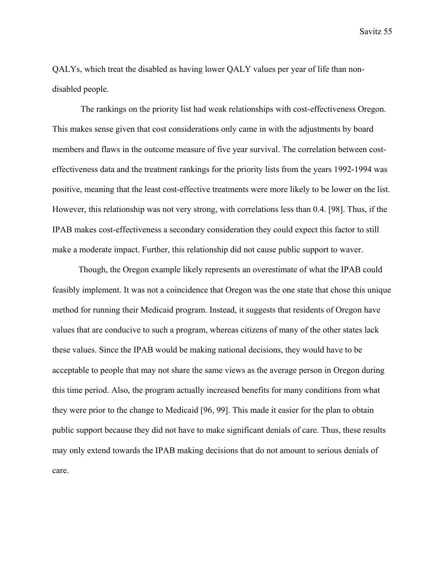QALYs, which treat the disabled as having lower QALY values per year of life than nondisabled people.

 The rankings on the priority list had weak relationships with cost-effectiveness Oregon. This makes sense given that cost considerations only came in with the adjustments by board members and flaws in the outcome measure of five year survival. The correlation between costeffectiveness data and the treatment rankings for the priority lists from the years 1992-1994 was positive, meaning that the least cost-effective treatments were more likely to be lower on the list. However, this relationship was not very strong, with correlations less than 0.4. [98]. Thus, if the IPAB makes cost-effectiveness a secondary consideration they could expect this factor to still make a moderate impact. Further, this relationship did not cause public support to waver.

 Though, the Oregon example likely represents an overestimate of what the IPAB could feasibly implement. It was not a coincidence that Oregon was the one state that chose this unique method for running their Medicaid program. Instead, it suggests that residents of Oregon have values that are conducive to such a program, whereas citizens of many of the other states lack these values. Since the IPAB would be making national decisions, they would have to be acceptable to people that may not share the same views as the average person in Oregon during this time period. Also, the program actually increased benefits for many conditions from what they were prior to the change to Medicaid [96, 99]. This made it easier for the plan to obtain public support because they did not have to make significant denials of care. Thus, these results may only extend towards the IPAB making decisions that do not amount to serious denials of care.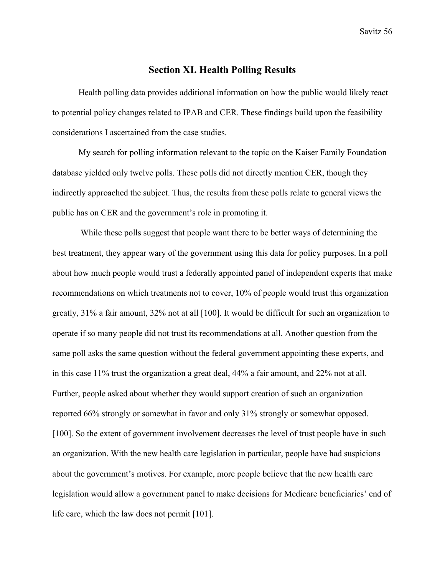# **Section XI. Health Polling Results**

Health polling data provides additional information on how the public would likely react to potential policy changes related to IPAB and CER. These findings build upon the feasibility considerations I ascertained from the case studies.

My search for polling information relevant to the topic on the Kaiser Family Foundation database yielded only twelve polls. These polls did not directly mention CER, though they indirectly approached the subject. Thus, the results from these polls relate to general views the public has on CER and the government's role in promoting it.

 While these polls suggest that people want there to be better ways of determining the best treatment, they appear wary of the government using this data for policy purposes. In a poll about how much people would trust a federally appointed panel of independent experts that make recommendations on which treatments not to cover, 10% of people would trust this organization greatly, 31% a fair amount, 32% not at all [100]. It would be difficult for such an organization to operate if so many people did not trust its recommendations at all. Another question from the same poll asks the same question without the federal government appointing these experts, and in this case 11% trust the organization a great deal, 44% a fair amount, and 22% not at all. Further, people asked about whether they would support creation of such an organization reported 66% strongly or somewhat in favor and only 31% strongly or somewhat opposed. [100]. So the extent of government involvement decreases the level of trust people have in such an organization. With the new health care legislation in particular, people have had suspicions about the government's motives. For example, more people believe that the new health care legislation would allow a government panel to make decisions for Medicare beneficiaries' end of life care, which the law does not permit [101].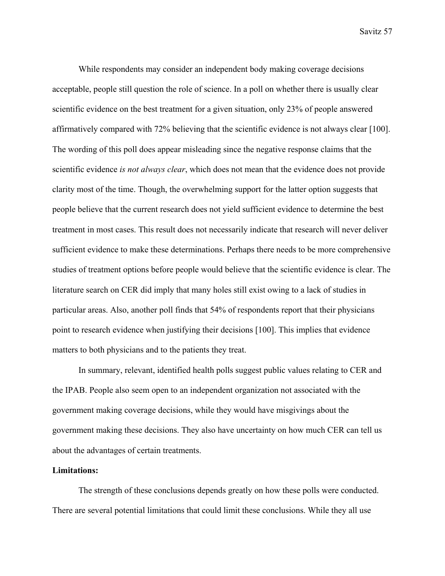While respondents may consider an independent body making coverage decisions acceptable, people still question the role of science. In a poll on whether there is usually clear scientific evidence on the best treatment for a given situation, only 23% of people answered affirmatively compared with 72% believing that the scientific evidence is not always clear [100]. The wording of this poll does appear misleading since the negative response claims that the scientific evidence *is not always clear*, which does not mean that the evidence does not provide clarity most of the time. Though, the overwhelming support for the latter option suggests that people believe that the current research does not yield sufficient evidence to determine the best treatment in most cases. This result does not necessarily indicate that research will never deliver sufficient evidence to make these determinations. Perhaps there needs to be more comprehensive studies of treatment options before people would believe that the scientific evidence is clear. The literature search on CER did imply that many holes still exist owing to a lack of studies in particular areas. Also, another poll finds that 54% of respondents report that their physicians point to research evidence when justifying their decisions [100]. This implies that evidence matters to both physicians and to the patients they treat.

In summary, relevant, identified health polls suggest public values relating to CER and the IPAB. People also seem open to an independent organization not associated with the government making coverage decisions, while they would have misgivings about the government making these decisions. They also have uncertainty on how much CER can tell us about the advantages of certain treatments.

#### **Limitations:**

The strength of these conclusions depends greatly on how these polls were conducted. There are several potential limitations that could limit these conclusions. While they all use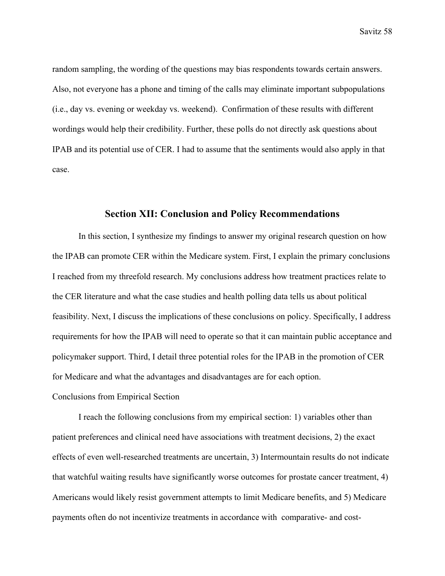random sampling, the wording of the questions may bias respondents towards certain answers. Also, not everyone has a phone and timing of the calls may eliminate important subpopulations (i.e., day vs. evening or weekday vs. weekend). Confirmation of these results with different wordings would help their credibility. Further, these polls do not directly ask questions about IPAB and its potential use of CER. I had to assume that the sentiments would also apply in that case.

## **Section XII: Conclusion and Policy Recommendations**

In this section, I synthesize my findings to answer my original research question on how the IPAB can promote CER within the Medicare system. First, I explain the primary conclusions I reached from my threefold research. My conclusions address how treatment practices relate to the CER literature and what the case studies and health polling data tells us about political feasibility. Next, I discuss the implications of these conclusions on policy. Specifically, I address requirements for how the IPAB will need to operate so that it can maintain public acceptance and policymaker support. Third, I detail three potential roles for the IPAB in the promotion of CER for Medicare and what the advantages and disadvantages are for each option.

Conclusions from Empirical Section

I reach the following conclusions from my empirical section: 1) variables other than patient preferences and clinical need have associations with treatment decisions, 2) the exact effects of even well-researched treatments are uncertain, 3) Intermountain results do not indicate that watchful waiting results have significantly worse outcomes for prostate cancer treatment, 4) Americans would likely resist government attempts to limit Medicare benefits, and 5) Medicare payments often do not incentivize treatments in accordance with comparative- and cost-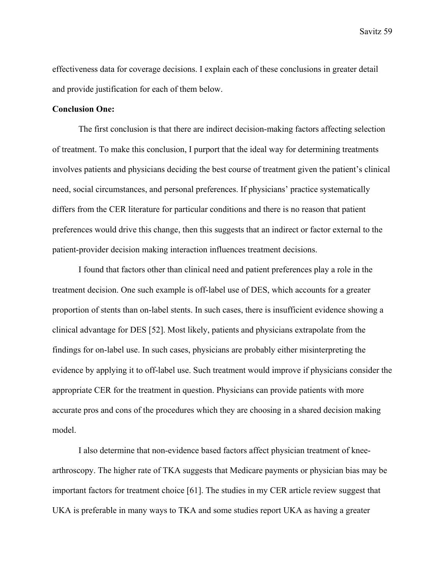effectiveness data for coverage decisions. I explain each of these conclusions in greater detail and provide justification for each of them below.

## **Conclusion One:**

The first conclusion is that there are indirect decision-making factors affecting selection of treatment. To make this conclusion, I purport that the ideal way for determining treatments involves patients and physicians deciding the best course of treatment given the patient's clinical need, social circumstances, and personal preferences. If physicians' practice systematically differs from the CER literature for particular conditions and there is no reason that patient preferences would drive this change, then this suggests that an indirect or factor external to the patient-provider decision making interaction influences treatment decisions.

I found that factors other than clinical need and patient preferences play a role in the treatment decision. One such example is off-label use of DES, which accounts for a greater proportion of stents than on-label stents. In such cases, there is insufficient evidence showing a clinical advantage for DES [52]. Most likely, patients and physicians extrapolate from the findings for on-label use. In such cases, physicians are probably either misinterpreting the evidence by applying it to off-label use. Such treatment would improve if physicians consider the appropriate CER for the treatment in question. Physicians can provide patients with more accurate pros and cons of the procedures which they are choosing in a shared decision making model.

I also determine that non-evidence based factors affect physician treatment of kneearthroscopy. The higher rate of TKA suggests that Medicare payments or physician bias may be important factors for treatment choice [61]. The studies in my CER article review suggest that UKA is preferable in many ways to TKA and some studies report UKA as having a greater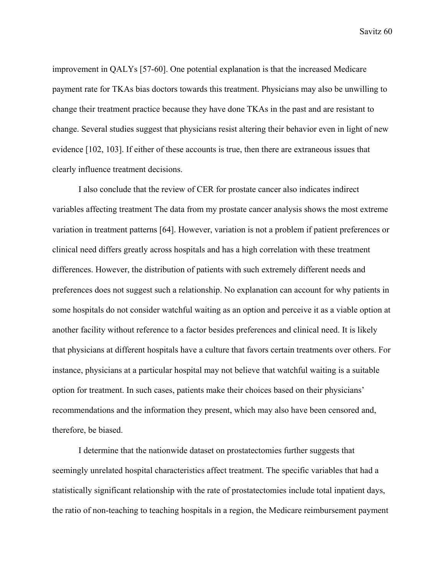improvement in QALYs [57-60]. One potential explanation is that the increased Medicare payment rate for TKAs bias doctors towards this treatment. Physicians may also be unwilling to change their treatment practice because they have done TKAs in the past and are resistant to change. Several studies suggest that physicians resist altering their behavior even in light of new evidence [102, 103]. If either of these accounts is true, then there are extraneous issues that clearly influence treatment decisions.

I also conclude that the review of CER for prostate cancer also indicates indirect variables affecting treatment The data from my prostate cancer analysis shows the most extreme variation in treatment patterns [64]. However, variation is not a problem if patient preferences or clinical need differs greatly across hospitals and has a high correlation with these treatment differences. However, the distribution of patients with such extremely different needs and preferences does not suggest such a relationship. No explanation can account for why patients in some hospitals do not consider watchful waiting as an option and perceive it as a viable option at another facility without reference to a factor besides preferences and clinical need. It is likely that physicians at different hospitals have a culture that favors certain treatments over others. For instance, physicians at a particular hospital may not believe that watchful waiting is a suitable option for treatment. In such cases, patients make their choices based on their physicians' recommendations and the information they present, which may also have been censored and, therefore, be biased.

 I determine that the nationwide dataset on prostatectomies further suggests that seemingly unrelated hospital characteristics affect treatment. The specific variables that had a statistically significant relationship with the rate of prostatectomies include total inpatient days, the ratio of non-teaching to teaching hospitals in a region, the Medicare reimbursement payment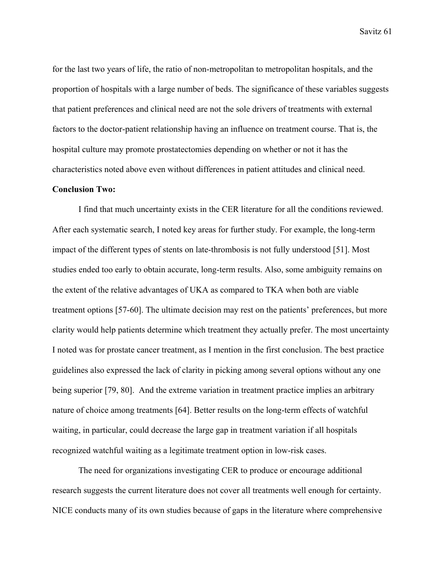for the last two years of life, the ratio of non-metropolitan to metropolitan hospitals, and the proportion of hospitals with a large number of beds. The significance of these variables suggests that patient preferences and clinical need are not the sole drivers of treatments with external factors to the doctor-patient relationship having an influence on treatment course. That is, the hospital culture may promote prostatectomies depending on whether or not it has the characteristics noted above even without differences in patient attitudes and clinical need.

## **Conclusion Two:**

I find that much uncertainty exists in the CER literature for all the conditions reviewed. After each systematic search, I noted key areas for further study. For example, the long-term impact of the different types of stents on late-thrombosis is not fully understood [51]. Most studies ended too early to obtain accurate, long-term results. Also, some ambiguity remains on the extent of the relative advantages of UKA as compared to TKA when both are viable treatment options [57-60]. The ultimate decision may rest on the patients' preferences, but more clarity would help patients determine which treatment they actually prefer. The most uncertainty I noted was for prostate cancer treatment, as I mention in the first conclusion. The best practice guidelines also expressed the lack of clarity in picking among several options without any one being superior [79, 80]. And the extreme variation in treatment practice implies an arbitrary nature of choice among treatments [64]. Better results on the long-term effects of watchful waiting, in particular, could decrease the large gap in treatment variation if all hospitals recognized watchful waiting as a legitimate treatment option in low-risk cases.

The need for organizations investigating CER to produce or encourage additional research suggests the current literature does not cover all treatments well enough for certainty. NICE conducts many of its own studies because of gaps in the literature where comprehensive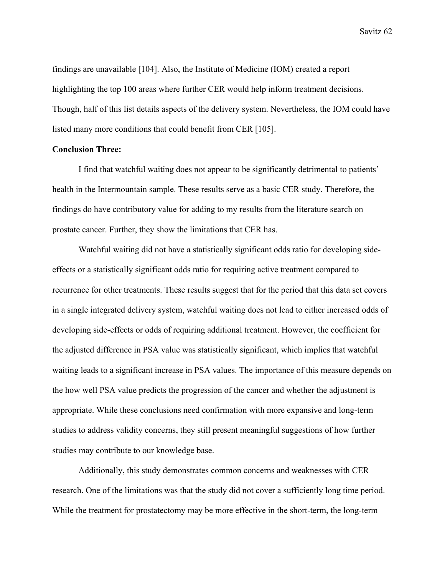findings are unavailable [104]. Also, the Institute of Medicine (IOM) created a report highlighting the top 100 areas where further CER would help inform treatment decisions. Though, half of this list details aspects of the delivery system. Nevertheless, the IOM could have listed many more conditions that could benefit from CER [105].

## **Conclusion Three:**

 I find that watchful waiting does not appear to be significantly detrimental to patients' health in the Intermountain sample. These results serve as a basic CER study. Therefore, the findings do have contributory value for adding to my results from the literature search on prostate cancer. Further, they show the limitations that CER has.

Watchful waiting did not have a statistically significant odds ratio for developing sideeffects or a statistically significant odds ratio for requiring active treatment compared to recurrence for other treatments. These results suggest that for the period that this data set covers in a single integrated delivery system, watchful waiting does not lead to either increased odds of developing side-effects or odds of requiring additional treatment. However, the coefficient for the adjusted difference in PSA value was statistically significant, which implies that watchful waiting leads to a significant increase in PSA values. The importance of this measure depends on the how well PSA value predicts the progression of the cancer and whether the adjustment is appropriate. While these conclusions need confirmation with more expansive and long-term studies to address validity concerns, they still present meaningful suggestions of how further studies may contribute to our knowledge base.

Additionally, this study demonstrates common concerns and weaknesses with CER research. One of the limitations was that the study did not cover a sufficiently long time period. While the treatment for prostatectomy may be more effective in the short-term, the long-term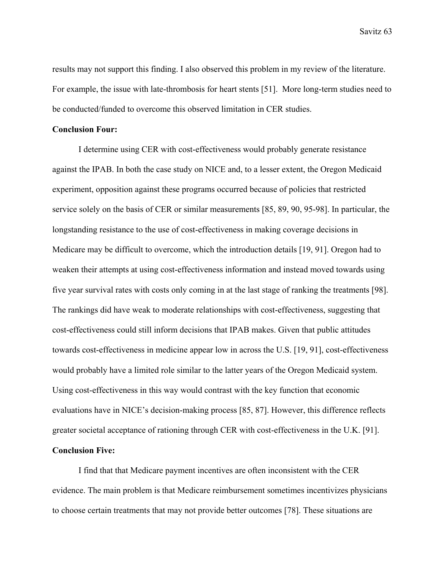results may not support this finding. I also observed this problem in my review of the literature. For example, the issue with late-thrombosis for heart stents [51]. More long-term studies need to be conducted/funded to overcome this observed limitation in CER studies.

#### **Conclusion Four:**

 I determine using CER with cost-effectiveness would probably generate resistance against the IPAB. In both the case study on NICE and, to a lesser extent, the Oregon Medicaid experiment, opposition against these programs occurred because of policies that restricted service solely on the basis of CER or similar measurements [85, 89, 90, 95-98]. In particular, the longstanding resistance to the use of cost-effectiveness in making coverage decisions in Medicare may be difficult to overcome, which the introduction details [19, 91]. Oregon had to weaken their attempts at using cost-effectiveness information and instead moved towards using five year survival rates with costs only coming in at the last stage of ranking the treatments [98]. The rankings did have weak to moderate relationships with cost-effectiveness, suggesting that cost-effectiveness could still inform decisions that IPAB makes. Given that public attitudes towards cost-effectiveness in medicine appear low in across the U.S. [19, 91], cost-effectiveness would probably have a limited role similar to the latter years of the Oregon Medicaid system. Using cost-effectiveness in this way would contrast with the key function that economic evaluations have in NICE's decision-making process [85, 87]. However, this difference reflects greater societal acceptance of rationing through CER with cost-effectiveness in the U.K. [91].

# **Conclusion Five:**

I find that that Medicare payment incentives are often inconsistent with the CER evidence. The main problem is that Medicare reimbursement sometimes incentivizes physicians to choose certain treatments that may not provide better outcomes [78]. These situations are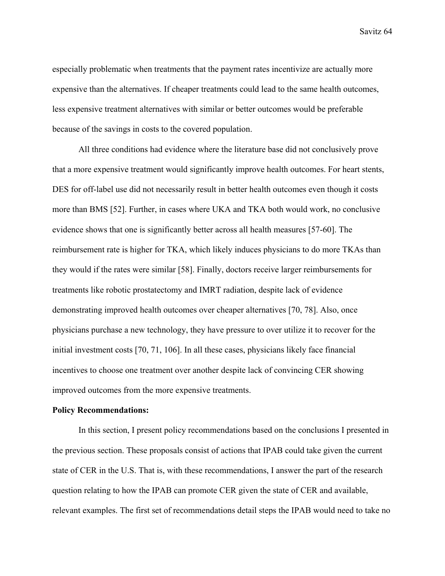especially problematic when treatments that the payment rates incentivize are actually more expensive than the alternatives. If cheaper treatments could lead to the same health outcomes, less expensive treatment alternatives with similar or better outcomes would be preferable because of the savings in costs to the covered population.

All three conditions had evidence where the literature base did not conclusively prove that a more expensive treatment would significantly improve health outcomes. For heart stents, DES for off-label use did not necessarily result in better health outcomes even though it costs more than BMS [52]. Further, in cases where UKA and TKA both would work, no conclusive evidence shows that one is significantly better across all health measures [57-60]. The reimbursement rate is higher for TKA, which likely induces physicians to do more TKAs than they would if the rates were similar [58]. Finally, doctors receive larger reimbursements for treatments like robotic prostatectomy and IMRT radiation, despite lack of evidence demonstrating improved health outcomes over cheaper alternatives [70, 78]. Also, once physicians purchase a new technology, they have pressure to over utilize it to recover for the initial investment costs [70, 71, 106]. In all these cases, physicians likely face financial incentives to choose one treatment over another despite lack of convincing CER showing improved outcomes from the more expensive treatments.

#### **Policy Recommendations:**

 In this section, I present policy recommendations based on the conclusions I presented in the previous section. These proposals consist of actions that IPAB could take given the current state of CER in the U.S. That is, with these recommendations, I answer the part of the research question relating to how the IPAB can promote CER given the state of CER and available, relevant examples. The first set of recommendations detail steps the IPAB would need to take no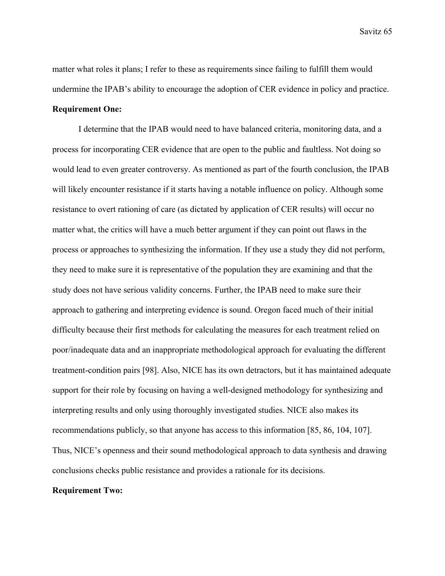matter what roles it plans; I refer to these as requirements since failing to fulfill them would undermine the IPAB's ability to encourage the adoption of CER evidence in policy and practice. **Requirement One:** 

I determine that the IPAB would need to have balanced criteria, monitoring data, and a process for incorporating CER evidence that are open to the public and faultless. Not doing so would lead to even greater controversy. As mentioned as part of the fourth conclusion, the IPAB will likely encounter resistance if it starts having a notable influence on policy. Although some resistance to overt rationing of care (as dictated by application of CER results) will occur no matter what, the critics will have a much better argument if they can point out flaws in the process or approaches to synthesizing the information. If they use a study they did not perform, they need to make sure it is representative of the population they are examining and that the study does not have serious validity concerns. Further, the IPAB need to make sure their approach to gathering and interpreting evidence is sound. Oregon faced much of their initial difficulty because their first methods for calculating the measures for each treatment relied on poor/inadequate data and an inappropriate methodological approach for evaluating the different treatment-condition pairs [98]. Also, NICE has its own detractors, but it has maintained adequate support for their role by focusing on having a well-designed methodology for synthesizing and interpreting results and only using thoroughly investigated studies. NICE also makes its recommendations publicly, so that anyone has access to this information [85, 86, 104, 107]. Thus, NICE's openness and their sound methodological approach to data synthesis and drawing conclusions checks public resistance and provides a rationale for its decisions.

#### **Requirement Two:**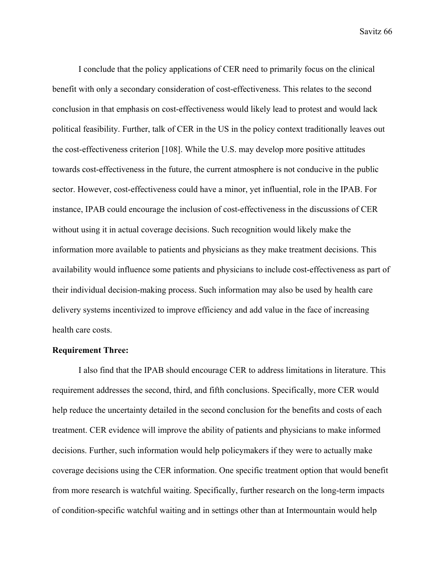I conclude that the policy applications of CER need to primarily focus on the clinical benefit with only a secondary consideration of cost-effectiveness. This relates to the second conclusion in that emphasis on cost-effectiveness would likely lead to protest and would lack political feasibility. Further, talk of CER in the US in the policy context traditionally leaves out the cost-effectiveness criterion [108]. While the U.S. may develop more positive attitudes towards cost-effectiveness in the future, the current atmosphere is not conducive in the public sector. However, cost-effectiveness could have a minor, yet influential, role in the IPAB. For instance, IPAB could encourage the inclusion of cost-effectiveness in the discussions of CER without using it in actual coverage decisions. Such recognition would likely make the information more available to patients and physicians as they make treatment decisions. This availability would influence some patients and physicians to include cost-effectiveness as part of their individual decision-making process. Such information may also be used by health care delivery systems incentivized to improve efficiency and add value in the face of increasing health care costs.

### **Requirement Three:**

I also find that the IPAB should encourage CER to address limitations in literature. This requirement addresses the second, third, and fifth conclusions. Specifically, more CER would help reduce the uncertainty detailed in the second conclusion for the benefits and costs of each treatment. CER evidence will improve the ability of patients and physicians to make informed decisions. Further, such information would help policymakers if they were to actually make coverage decisions using the CER information. One specific treatment option that would benefit from more research is watchful waiting. Specifically, further research on the long-term impacts of condition-specific watchful waiting and in settings other than at Intermountain would help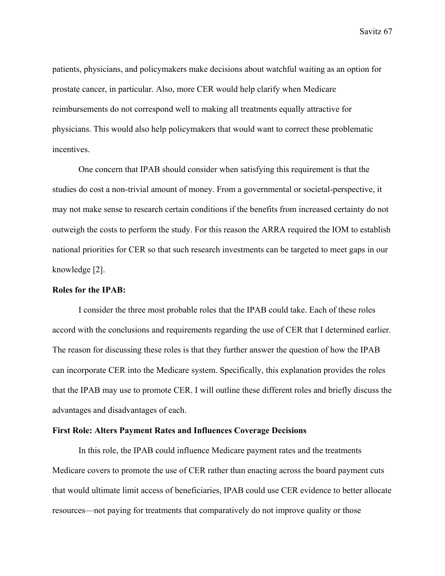patients, physicians, and policymakers make decisions about watchful waiting as an option for prostate cancer, in particular. Also, more CER would help clarify when Medicare reimbursements do not correspond well to making all treatments equally attractive for physicians. This would also help policymakers that would want to correct these problematic incentives.

One concern that IPAB should consider when satisfying this requirement is that the studies do cost a non-trivial amount of money. From a governmental or societal-perspective, it may not make sense to research certain conditions if the benefits from increased certainty do not outweigh the costs to perform the study. For this reason the ARRA required the IOM to establish national priorities for CER so that such research investments can be targeted to meet gaps in our knowledge [2].

#### **Roles for the IPAB:**

I consider the three most probable roles that the IPAB could take. Each of these roles accord with the conclusions and requirements regarding the use of CER that I determined earlier. The reason for discussing these roles is that they further answer the question of how the IPAB can incorporate CER into the Medicare system. Specifically, this explanation provides the roles that the IPAB may use to promote CER. I will outline these different roles and briefly discuss the advantages and disadvantages of each.

### **First Role: Alters Payment Rates and Influences Coverage Decisions**

In this role, the IPAB could influence Medicare payment rates and the treatments Medicare covers to promote the use of CER rather than enacting across the board payment cuts that would ultimate limit access of beneficiaries, IPAB could use CER evidence to better allocate resources—not paying for treatments that comparatively do not improve quality or those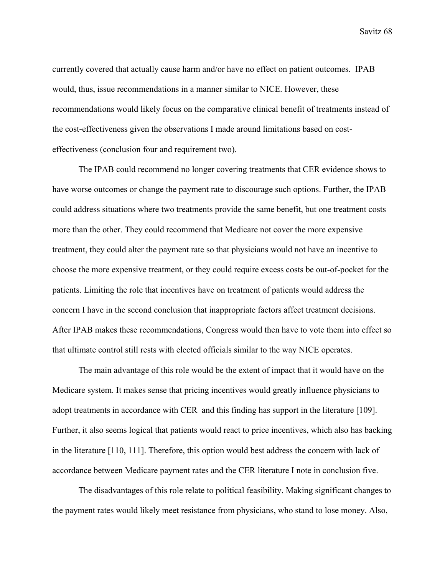currently covered that actually cause harm and/or have no effect on patient outcomes. IPAB would, thus, issue recommendations in a manner similar to NICE. However, these recommendations would likely focus on the comparative clinical benefit of treatments instead of the cost-effectiveness given the observations I made around limitations based on costeffectiveness (conclusion four and requirement two).

The IPAB could recommend no longer covering treatments that CER evidence shows to have worse outcomes or change the payment rate to discourage such options. Further, the IPAB could address situations where two treatments provide the same benefit, but one treatment costs more than the other. They could recommend that Medicare not cover the more expensive treatment, they could alter the payment rate so that physicians would not have an incentive to choose the more expensive treatment, or they could require excess costs be out-of-pocket for the patients. Limiting the role that incentives have on treatment of patients would address the concern I have in the second conclusion that inappropriate factors affect treatment decisions. After IPAB makes these recommendations, Congress would then have to vote them into effect so that ultimate control still rests with elected officials similar to the way NICE operates.

 The main advantage of this role would be the extent of impact that it would have on the Medicare system. It makes sense that pricing incentives would greatly influence physicians to adopt treatments in accordance with CER and this finding has support in the literature [109]. Further, it also seems logical that patients would react to price incentives, which also has backing in the literature [110, 111]. Therefore, this option would best address the concern with lack of accordance between Medicare payment rates and the CER literature I note in conclusion five.

 The disadvantages of this role relate to political feasibility. Making significant changes to the payment rates would likely meet resistance from physicians, who stand to lose money. Also,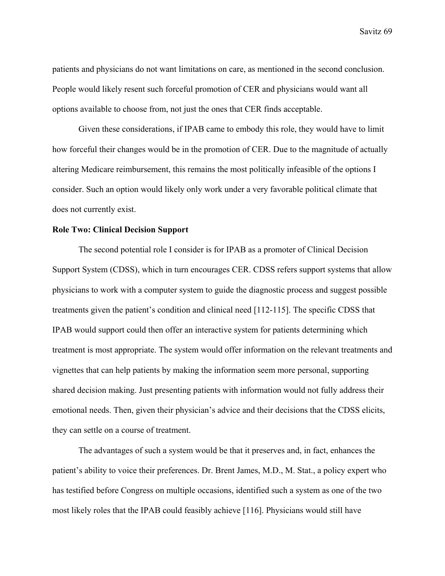patients and physicians do not want limitations on care, as mentioned in the second conclusion. People would likely resent such forceful promotion of CER and physicians would want all options available to choose from, not just the ones that CER finds acceptable.

 Given these considerations, if IPAB came to embody this role, they would have to limit how forceful their changes would be in the promotion of CER. Due to the magnitude of actually altering Medicare reimbursement, this remains the most politically infeasible of the options I consider. Such an option would likely only work under a very favorable political climate that does not currently exist.

### **Role Two: Clinical Decision Support**

 The second potential role I consider is for IPAB as a promoter of Clinical Decision Support System (CDSS), which in turn encourages CER. CDSS refers support systems that allow physicians to work with a computer system to guide the diagnostic process and suggest possible treatments given the patient's condition and clinical need [112-115]. The specific CDSS that IPAB would support could then offer an interactive system for patients determining which treatment is most appropriate. The system would offer information on the relevant treatments and vignettes that can help patients by making the information seem more personal, supporting shared decision making. Just presenting patients with information would not fully address their emotional needs. Then, given their physician's advice and their decisions that the CDSS elicits, they can settle on a course of treatment.

 The advantages of such a system would be that it preserves and, in fact, enhances the patient's ability to voice their preferences. Dr. Brent James, M.D., M. Stat., a policy expert who has testified before Congress on multiple occasions, identified such a system as one of the two most likely roles that the IPAB could feasibly achieve [116]. Physicians would still have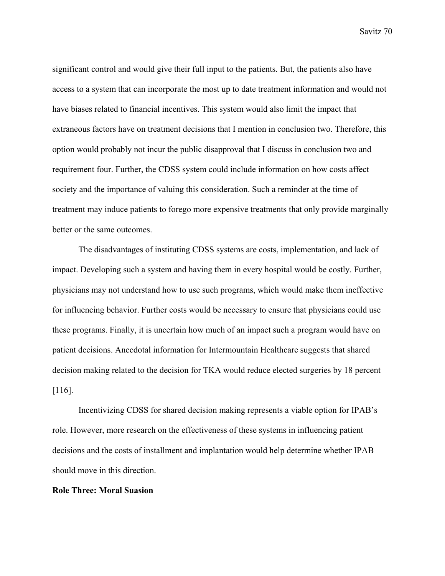significant control and would give their full input to the patients. But, the patients also have access to a system that can incorporate the most up to date treatment information and would not have biases related to financial incentives. This system would also limit the impact that extraneous factors have on treatment decisions that I mention in conclusion two. Therefore, this option would probably not incur the public disapproval that I discuss in conclusion two and requirement four. Further, the CDSS system could include information on how costs affect society and the importance of valuing this consideration. Such a reminder at the time of treatment may induce patients to forego more expensive treatments that only provide marginally better or the same outcomes.

 The disadvantages of instituting CDSS systems are costs, implementation, and lack of impact. Developing such a system and having them in every hospital would be costly. Further, physicians may not understand how to use such programs, which would make them ineffective for influencing behavior. Further costs would be necessary to ensure that physicians could use these programs. Finally, it is uncertain how much of an impact such a program would have on patient decisions. Anecdotal information for Intermountain Healthcare suggests that shared decision making related to the decision for TKA would reduce elected surgeries by 18 percent [116].

 Incentivizing CDSS for shared decision making represents a viable option for IPAB's role. However, more research on the effectiveness of these systems in influencing patient decisions and the costs of installment and implantation would help determine whether IPAB should move in this direction.

#### **Role Three: Moral Suasion**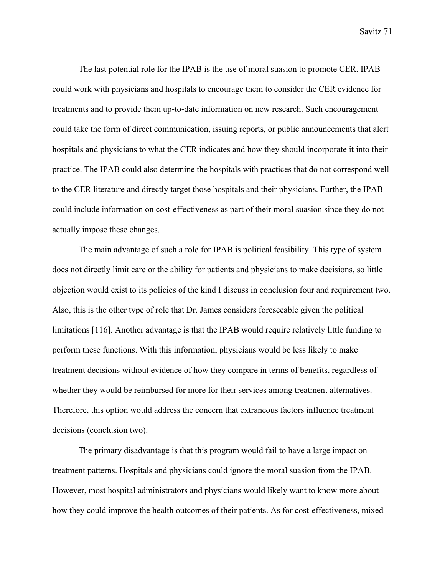The last potential role for the IPAB is the use of moral suasion to promote CER. IPAB could work with physicians and hospitals to encourage them to consider the CER evidence for treatments and to provide them up-to-date information on new research. Such encouragement could take the form of direct communication, issuing reports, or public announcements that alert hospitals and physicians to what the CER indicates and how they should incorporate it into their practice. The IPAB could also determine the hospitals with practices that do not correspond well to the CER literature and directly target those hospitals and their physicians. Further, the IPAB could include information on cost-effectiveness as part of their moral suasion since they do not actually impose these changes.

 The main advantage of such a role for IPAB is political feasibility. This type of system does not directly limit care or the ability for patients and physicians to make decisions, so little objection would exist to its policies of the kind I discuss in conclusion four and requirement two. Also, this is the other type of role that Dr. James considers foreseeable given the political limitations [116]. Another advantage is that the IPAB would require relatively little funding to perform these functions. With this information, physicians would be less likely to make treatment decisions without evidence of how they compare in terms of benefits, regardless of whether they would be reimbursed for more for their services among treatment alternatives. Therefore, this option would address the concern that extraneous factors influence treatment decisions (conclusion two).

 The primary disadvantage is that this program would fail to have a large impact on treatment patterns. Hospitals and physicians could ignore the moral suasion from the IPAB. However, most hospital administrators and physicians would likely want to know more about how they could improve the health outcomes of their patients. As for cost-effectiveness, mixed-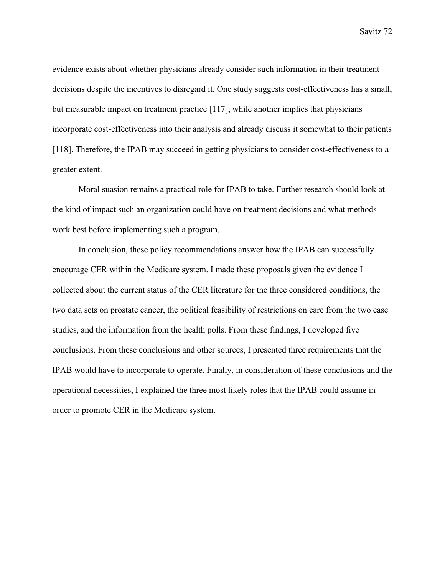evidence exists about whether physicians already consider such information in their treatment decisions despite the incentives to disregard it. One study suggests cost-effectiveness has a small, but measurable impact on treatment practice [117], while another implies that physicians incorporate cost-effectiveness into their analysis and already discuss it somewhat to their patients [118]. Therefore, the IPAB may succeed in getting physicians to consider cost-effectiveness to a greater extent.

 Moral suasion remains a practical role for IPAB to take. Further research should look at the kind of impact such an organization could have on treatment decisions and what methods work best before implementing such a program.

 In conclusion, these policy recommendations answer how the IPAB can successfully encourage CER within the Medicare system. I made these proposals given the evidence I collected about the current status of the CER literature for the three considered conditions, the two data sets on prostate cancer, the political feasibility of restrictions on care from the two case studies, and the information from the health polls. From these findings, I developed five conclusions. From these conclusions and other sources, I presented three requirements that the IPAB would have to incorporate to operate. Finally, in consideration of these conclusions and the operational necessities, I explained the three most likely roles that the IPAB could assume in order to promote CER in the Medicare system.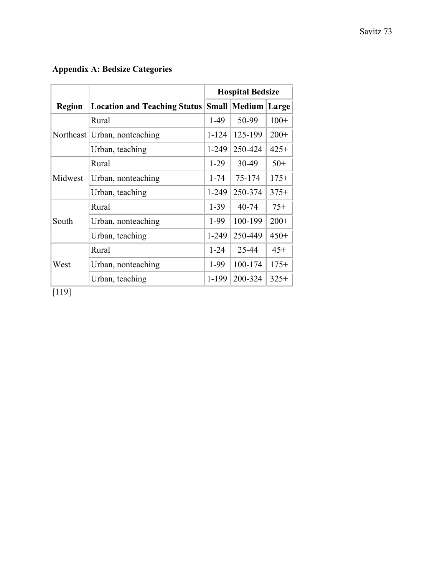## **Appendix A: Bedsize Categories**

|               |                                                        | <b>Hospital Bedsize</b> |         |        |
|---------------|--------------------------------------------------------|-------------------------|---------|--------|
| <b>Region</b> | <b>Location and Teaching Status Small Medium Large</b> |                         |         |        |
| Northeast     | Rural                                                  | $1-49$                  | 50-99   | $100+$ |
|               | Urban, nonteaching                                     | $1 - 124$               | 125-199 | $200+$ |
|               | Urban, teaching                                        | $1 - 249$               | 250-424 | $425+$ |
| Midwest       | Rural                                                  | $1-29$                  | 30-49   | $50+$  |
|               | Urban, nonteaching                                     | $1 - 74$                | 75-174  | $175+$ |
|               | Urban, teaching                                        | $1 - 249$               | 250-374 | $375+$ |
| South         | Rural                                                  | $1-39$                  | 40-74   | $75+$  |
|               | Urban, nonteaching                                     | 1-99                    | 100-199 | $200+$ |
|               | Urban, teaching                                        | $1 - 249$               | 250-449 | $450+$ |
| West          | Rural                                                  | $1 - 24$                | 25-44   | $45+$  |
|               | Urban, nonteaching                                     | 1-99                    | 100-174 | $175+$ |
|               | Urban, teaching                                        | 1-199                   | 200-324 | $325+$ |

 $\boxed{119}$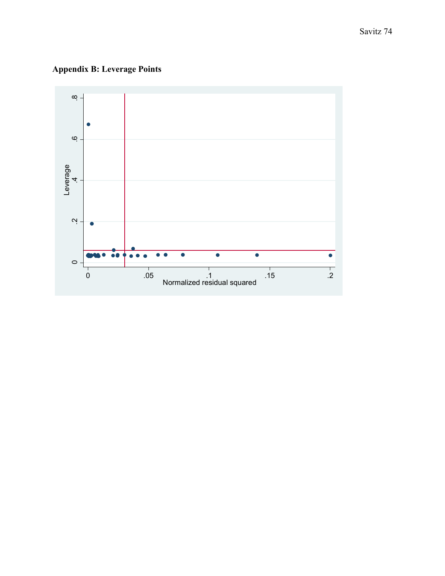**Appendix B: Leverage Points** 

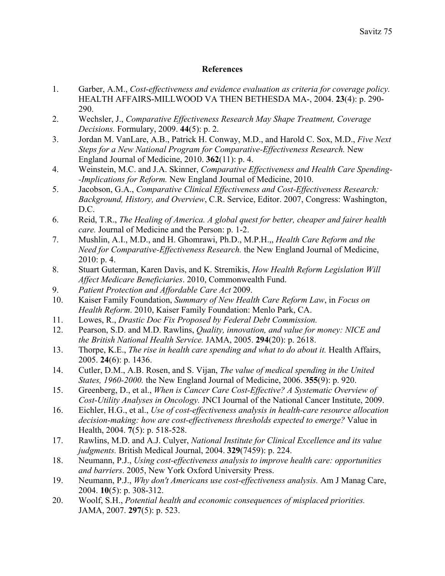## **References**

- 1. Garber, A.M., *Cost-effectiveness and evidence evaluation as criteria for coverage policy.* HEALTH AFFAIRS-MILLWOOD VA THEN BETHESDA MA-, 2004. **23**(4): p. 290- 290.
- 2. Wechsler, J., *Comparative Effectiveness Research May Shape Treatment, Coverage Decisions.* Formulary, 2009. **44**(5): p. 2.
- 3. Jordan M. VanLare, A.B., Patrick H. Conway, M.D., and Harold C. Sox, M.D., *Five Next Steps for a New National Program for Comparative-Effectiveness Research.* New England Journal of Medicine, 2010. **362**(11): p. 4.
- 4. Weinstein, M.C. and J.A. Skinner, *Comparative Effectiveness and Health Care Spending- -Implications for Reform.* New England Journal of Medicine, 2010.
- 5. Jacobson, G.A., *Comparative Clinical Effectiveness and Cost-Effectiveness Research: Background, History, and Overview*, C.R. Service, Editor. 2007, Congress: Washington,  $D C$
- 6. Reid, T.R., *The Healing of America. A global quest for better, cheaper and fairer health care.* Journal of Medicine and the Person: p. 1-2.
- 7. Mushlin, A.I., M.D., and H. Ghomrawi, Ph.D., M.P.H.,, *Health Care Reform and the Need for Comparative-Effectiveness Research.* the New England Journal of Medicine, 2010: p. 4.
- 8. Stuart Guterman, Karen Davis, and K. Stremikis, *How Health Reform Legislation Will Affect Medicare Beneficiaries*. 2010, Commonwealth Fund.
- 9. *Patient Protection and Affordable Care Act* 2009.
- 10. Kaiser Family Foundation, *Summary of New Health Care Reform Law*, in *Focus on Health Reform*. 2010, Kaiser Family Foundation: Menlo Park, CA.
- 11. Lowes, R., *Drastic Doc Fix Proposed by Federal Debt Commission.*
- 12. Pearson, S.D. and M.D. Rawlins, *Quality, innovation, and value for money: NICE and the British National Health Service.* JAMA, 2005. **294**(20): p. 2618.
- 13. Thorpe, K.E., *The rise in health care spending and what to do about it.* Health Affairs, 2005. **24**(6): p. 1436.
- 14. Cutler, D.M., A.B. Rosen, and S. Vijan, *The value of medical spending in the United States, 1960-2000.* the New England Journal of Medicine, 2006. **355**(9): p. 920.
- 15. Greenberg, D., et al., *When is Cancer Care Cost-Effective? A Systematic Overview of Cost-Utility Analyses in Oncology.* JNCI Journal of the National Cancer Institute, 2009.
- 16. Eichler, H.G., et al., *Use of cost-effectiveness analysis in health-care resource allocation decision-making: how are cost-effectiveness thresholds expected to emerge?* Value in Health, 2004. **7**(5): p. 518-528.
- 17. Rawlins, M.D. and A.J. Culyer, *National Institute for Clinical Excellence and its value judgments.* British Medical Journal, 2004. **329**(7459): p. 224.
- 18. Neumann, P.J., *Using cost-effectiveness analysis to improve health care: opportunities and barriers*. 2005, New York Oxford University Press.
- 19. Neumann, P.J., *Why don't Americans use cost-effectiveness analysis.* Am J Manag Care, 2004. **10**(5): p. 308-312.
- 20. Woolf, S.H., *Potential health and economic consequences of misplaced priorities.* JAMA, 2007. **297**(5): p. 523.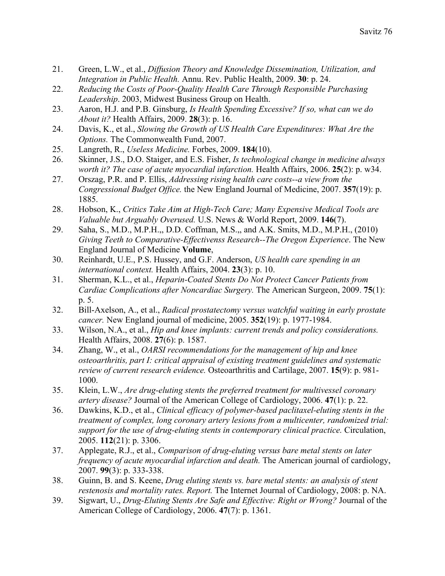- 21. Green, L.W., et al., *Diffusion Theory and Knowledge Dissemination, Utilization, and Integration in Public Health.* Annu. Rev. Public Health, 2009. **30**: p. 24.
- 22. *Reducing the Costs of Poor-Quality Health Care Through Responsible Purchasing Leadership*. 2003, Midwest Business Group on Health.
- 23. Aaron, H.J. and P.B. Ginsburg, *Is Health Spending Excessive? If so, what can we do About it?* Health Affairs, 2009. **28**(3): p. 16.
- 24. Davis, K., et al., *Slowing the Growth of US Health Care Expenditures: What Are the Options.* The Commonwealth Fund, 2007.
- 25. Langreth, R., *Useless Medicine.* Forbes, 2009. **184**(10).
- 26. Skinner, J.S., D.O. Staiger, and E.S. Fisher, *Is technological change in medicine always worth it? The case of acute myocardial infarction.* Health Affairs, 2006. **25**(2): p. w34.
- 27. Orszag, P.R. and P. Ellis, *Addressing rising health care costs--a view from the Congressional Budget Office.* the New England Journal of Medicine, 2007. **357**(19): p. 1885.
- 28. Hobson, K., *Critics Take Aim at High-Tech Care; Many Expensive Medical Tools are Valuable but Arguably Overused.* U.S. News & World Report, 2009. **146**(7).
- 29. Saha, S., M.D., M.P.H.,, D.D. Coffman, M.S.,, and A.K. Smits, M.D., M.P.H., (2010) *Giving Teeth to Comparative-Effectivenss Research--The Oregon Experience*. The New England Journal of Medicine **Volume**,
- 30. Reinhardt, U.E., P.S. Hussey, and G.F. Anderson, *US health care spending in an international context.* Health Affairs, 2004. **23**(3): p. 10.
- 31. Sherman, K.L., et al., *Heparin-Coated Stents Do Not Protect Cancer Patients from Cardiac Complications after Noncardiac Surgery.* The American Surgeon, 2009. **75**(1): p. 5.
- 32. Bill-Axelson, A., et al., *Radical prostatectomy versus watchful waiting in early prostate cancer.* New England journal of medicine, 2005. **352**(19): p. 1977-1984.
- 33. Wilson, N.A., et al., *Hip and knee implants: current trends and policy considerations.* Health Affairs, 2008. **27**(6): p. 1587.
- 34. Zhang, W., et al., *OARSI recommendations for the management of hip and knee osteoarthritis, part I: critical appraisal of existing treatment guidelines and systematic review of current research evidence.* Osteoarthritis and Cartilage, 2007. **15**(9): p. 981- 1000.
- 35. Klein, L.W., *Are drug-eluting stents the preferred treatment for multivessel coronary artery disease?* Journal of the American College of Cardiology, 2006. **47**(1): p. 22.
- 36. Dawkins, K.D., et al., *Clinical efficacy of polymer-based paclitaxel-eluting stents in the treatment of complex, long coronary artery lesions from a multicenter, randomized trial: support for the use of drug-eluting stents in contemporary clinical practice.* Circulation, 2005. **112**(21): p. 3306.
- 37. Applegate, R.J., et al., *Comparison of drug-eluting versus bare metal stents on later frequency of acute myocardial infarction and death.* The American journal of cardiology, 2007. **99**(3): p. 333-338.
- 38. Guinn, B. and S. Keene, *Drug eluting stents vs. bare metal stents: an analysis of stent restenosis and mortality rates. Report.* The Internet Journal of Cardiology, 2008: p. NA.
- 39. Sigwart, U., *Drug-Eluting Stents Are Safe and Effective: Right or Wrong?* Journal of the American College of Cardiology, 2006. **47**(7): p. 1361.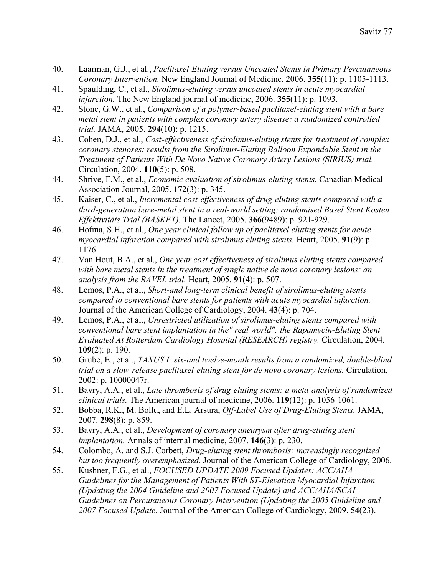- 40. Laarman, G.J., et al., *Paclitaxel-Eluting versus Uncoated Stents in Primary Percutaneous Coronary Intervention.* New England Journal of Medicine, 2006. **355**(11): p. 1105-1113.
- 41. Spaulding, C., et al., *Sirolimus-eluting versus uncoated stents in acute myocardial infarction.* The New England journal of medicine, 2006. **355**(11): p. 1093.
- 42. Stone, G.W., et al., *Comparison of a polymer-based paclitaxel-eluting stent with a bare metal stent in patients with complex coronary artery disease: a randomized controlled trial.* JAMA, 2005. **294**(10): p. 1215.
- 43. Cohen, D.J., et al., *Cost-effectiveness of sirolimus-eluting stents for treatment of complex coronary stenoses: results from the Sirolimus-Eluting Balloon Expandable Stent in the Treatment of Patients With De Novo Native Coronary Artery Lesions (SIRIUS) trial.* Circulation, 2004. **110**(5): p. 508.
- 44. Shrive, F.M., et al., *Economic evaluation of sirolimus-eluting stents.* Canadian Medical Association Journal, 2005. **172**(3): p. 345.
- 45. Kaiser, C., et al., *Incremental cost-effectiveness of drug-eluting stents compared with a third-generation bare-metal stent in a real-world setting: randomised Basel Stent Kosten Effektivitäts Trial (BASKET).* The Lancet, 2005. **366**(9489): p. 921-929.
- 46. Hofma, S.H., et al., *One year clinical follow up of paclitaxel eluting stents for acute myocardial infarction compared with sirolimus eluting stents.* Heart, 2005. **91**(9): p. 1176.
- 47. Van Hout, B.A., et al., *One year cost effectiveness of sirolimus eluting stents compared with bare metal stents in the treatment of single native de novo coronary lesions: an analysis from the RAVEL trial.* Heart, 2005. **91**(4): p. 507.
- 48. Lemos, P.A., et al., *Short-and long-term clinical benefit of sirolimus-eluting stents compared to conventional bare stents for patients with acute myocardial infarction.* Journal of the American College of Cardiology, 2004. **43**(4): p. 704.
- 49. Lemos, P.A., et al., *Unrestricted utilization of sirolimus-eluting stents compared with conventional bare stent implantation in the" real world": the Rapamycin-Eluting Stent Evaluated At Rotterdam Cardiology Hospital (RESEARCH) registry.* Circulation, 2004. **109**(2): p. 190.
- 50. Grube, E., et al., *TAXUS I: six-and twelve-month results from a randomized, double-blind trial on a slow-release paclitaxel-eluting stent for de novo coronary lesions.* Circulation, 2002: p. 10000047r.
- 51. Bavry, A.A., et al., *Late thrombosis of drug-eluting stents: a meta-analysis of randomized clinical trials.* The American journal of medicine, 2006. **119**(12): p. 1056-1061.
- 52. Bobba, R.K., M. Bollu, and E.L. Arsura, *Off-Label Use of Drug-Eluting Stents.* JAMA, 2007. **298**(8): p. 859.
- 53. Bavry, A.A., et al., *Development of coronary aneurysm after drug-eluting stent implantation.* Annals of internal medicine, 2007. **146**(3): p. 230.
- 54. Colombo, A. and S.J. Corbett, *Drug-eluting stent thrombosis: increasingly recognized but too frequently overemphasized.* Journal of the American College of Cardiology, 2006.
- 55. Kushner, F.G., et al., *FOCUSED UPDATE 2009 Focused Updates: ACC/AHA Guidelines for the Management of Patients With ST-Elevation Myocardial Infarction (Updating the 2004 Guideline and 2007 Focused Update) and ACC/AHA/SCAI Guidelines on Percutaneous Coronary Intervention (Updating the 2005 Guideline and 2007 Focused Update.* Journal of the American College of Cardiology, 2009. **54**(23).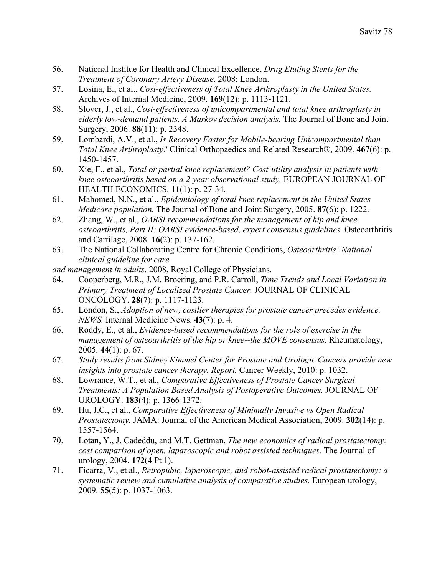- 56. National Institue for Health and Clinical Excellence, *Drug Eluting Stents for the Treatment of Coronary Artery Disease*. 2008: London.
- 57. Losina, E., et al., *Cost-effectiveness of Total Knee Arthroplasty in the United States.* Archives of Internal Medicine, 2009. **169**(12): p. 1113-1121.
- 58. Slover, J., et al., *Cost-effectiveness of unicompartmental and total knee arthroplasty in elderly low-demand patients. A Markov decision analysis.* The Journal of Bone and Joint Surgery, 2006. **88**(11): p. 2348.
- 59. Lombardi, A.V., et al., *Is Recovery Faster for Mobile-bearing Unicompartmental than Total Knee Arthroplasty?* Clinical Orthopaedics and Related Research®, 2009. **467**(6): p. 1450-1457.
- 60. Xie, F., et al., *Total or partial knee replacement? Cost-utility analysis in patients with knee osteoarthritis based on a 2-year observational study.* EUROPEAN JOURNAL OF HEALTH ECONOMICS. **11**(1): p. 27-34.
- 61. Mahomed, N.N., et al., *Epidemiology of total knee replacement in the United States Medicare population.* The Journal of Bone and Joint Surgery, 2005. **87**(6): p. 1222.
- 62. Zhang, W., et al., *OARSI recommendations for the management of hip and knee osteoarthritis, Part II: OARSI evidence-based, expert consensus guidelines.* Osteoarthritis and Cartilage, 2008. **16**(2): p. 137-162.
- 63. The National Collaborating Centre for Chronic Conditions, *Osteoarthritis: National clinical guideline for care*
- *and management in adults*. 2008, Royal College of Physicians.
- 64. Cooperberg, M.R., J.M. Broering, and P.R. Carroll, *Time Trends and Local Variation in Primary Treatment of Localized Prostate Cancer.* JOURNAL OF CLINICAL ONCOLOGY. **28**(7): p. 1117-1123.
- 65. London, S., *Adoption of new, costlier therapies for prostate cancer precedes evidence. NEWS.* Internal Medicine News. **43**(7): p. 4.
- 66. Roddy, E., et al., *Evidence-based recommendations for the role of exercise in the management of osteoarthritis of the hip or knee--the MOVE consensus.* Rheumatology, 2005. **44**(1): p. 67.
- 67. *Study results from Sidney Kimmel Center for Prostate and Urologic Cancers provide new insights into prostate cancer therapy. Report.* Cancer Weekly, 2010: p. 1032.
- 68. Lowrance, W.T., et al., *Comparative Effectiveness of Prostate Cancer Surgical Treatments: A Population Based Analysis of Postoperative Outcomes.* JOURNAL OF UROLOGY. **183**(4): p. 1366-1372.
- 69. Hu, J.C., et al., *Comparative Effectiveness of Minimally Invasive vs Open Radical Prostatectomy.* JAMA: Journal of the American Medical Association, 2009. **302**(14): p. 1557-1564.
- 70. Lotan, Y., J. Cadeddu, and M.T. Gettman, *The new economics of radical prostatectomy: cost comparison of open, laparoscopic and robot assisted techniques.* The Journal of urology, 2004. **172**(4 Pt 1).
- 71. Ficarra, V., et al., *Retropubic, laparoscopic, and robot-assisted radical prostatectomy: a systematic review and cumulative analysis of comparative studies.* European urology, 2009. **55**(5): p. 1037-1063.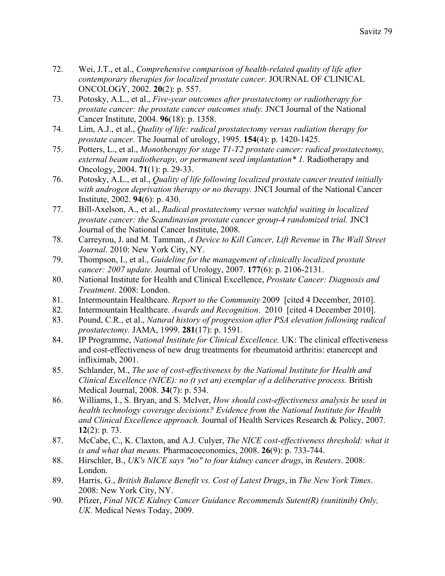- 72. Wei, J.T., et al., *Comprehensive comparison of health-related quality of life after contemporary therapies for localized prostate cancer.* JOURNAL OF CLINICAL ONCOLOGY, 2002. **20**(2): p. 557.
- 73. Potosky, A.L., et al., *Five-year outcomes after prostatectomy or radiotherapy for prostate cancer: the prostate cancer outcomes study.* JNCI Journal of the National Cancer Institute, 2004. **96**(18): p. 1358.
- 74. Lim, A.J., et al., *Quality of life: radical prostatectomy versus radiation therapy for prostate cancer.* The Journal of urology, 1995. **154**(4): p. 1420-1425.
- 75. Potters, L., et al., *Monotherapy for stage T1-T2 prostate cancer: radical prostatectomy, external beam radiotherapy, or permanent seed implantation\* 1.* Radiotherapy and Oncology, 2004. **71**(1): p. 29-33.
- 76. Potosky, A.L., et al., *Quality of life following localized prostate cancer treated initially with androgen deprivation therapy or no therapy.* JNCI Journal of the National Cancer Institute, 2002. **94**(6): p. 430.
- 77. Bill-Axelson, A., et al., *Radical prostatectomy versus watchful waiting in localized prostate cancer: the Scandinavian prostate cancer group-4 randomized trial.* JNCI Journal of the National Cancer Institute, 2008.
- 78. Carreyrou, J. and M. Tamman, *A Device to Kill Cancer, Lift Revenue* in *The Wall Street Journal*. 2010: New York City, NY.
- 79. Thompson, I., et al., *Guideline for the management of clinically localized prostate cancer: 2007 update.* Journal of Urology, 2007. **177**(6): p. 2106-2131.
- 80. National Institute for Health and Clinical Excellence, *Prostate Cancer: Diagnosis and Treatment*. 2008: London.
- 81. Intermountain Healthcare. *Report to the Community* 2009 [cited 4 December, 2010].
- 82. Intermountain Healthcare. *Awards and Recognition*. 2010 [cited 4 December 2010].
- 83. Pound, C.R., et al., *Natural history of progression after PSA elevation following radical prostatectomy.* JAMA, 1999. **281**(17): p. 1591.
- 84. IP Programme, *National Institute for Clinical Excellence.* UK: The clinical effectiveness and cost-effectiveness of new drug treatments for rheumatoid arthritis: etanercept and infliximab, 2001.
- 85. Schlander, M., *The use of cost-effectiveness by the National Institute for Health and Clinical Excellence (NICE): no (t yet an) exemplar of a deliberative process.* British Medical Journal, 2008. **34**(7): p. 534.
- 86. Williams, I., S. Bryan, and S. McIver, *How should cost-effectiveness analysis be used in health technology coverage decisions? Evidence from the National Institute for Health and Clinical Excellence approach.* Journal of Health Services Research & Policy, 2007. **12**(2): p. 73.
- 87. McCabe, C., K. Claxton, and A.J. Culyer, *The NICE cost-effectiveness threshold: what it is and what that means.* Pharmacoeconomics, 2008. **26**(9): p. 733-744.
- 88. Hirschler, B., *UK's NICE says "no" to four kidney cancer drugs*, in *Reuters*. 2008: London.
- 89. Harris, G., *British Balance Benefit vs. Cost of Latest Drugs*, in *The New York Times*. 2008: New York City, NY.
- 90. Pfizer, *Final NICE Kidney Cancer Guidance Recommends Sutent(R) (sunitinib) Only, UK.* Medical News Today, 2009.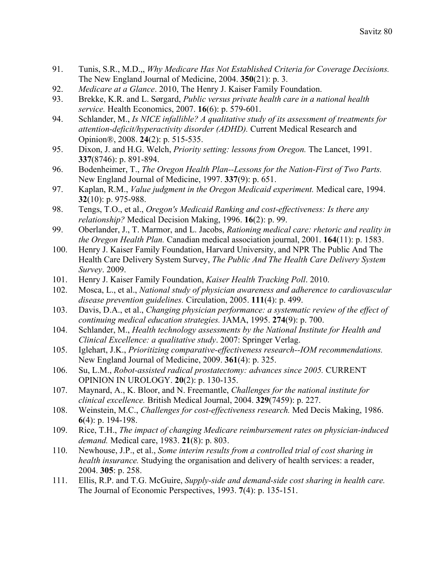- 91. Tunis, S.R., M.D.,, *Why Medicare Has Not Established Criteria for Coverage Decisions.* The New England Journal of Medicine, 2004. **350**(21): p. 3.
- 92. *Medicare at a Glance*. 2010, The Henry J. Kaiser Family Foundation.
- 93. Brekke, K.R. and L. Sørgard, *Public versus private health care in a national health service.* Health Economics, 2007. **16**(6): p. 579-601.
- 94. Schlander, M., *Is NICE infallible? A qualitative study of its assessment of treatments for attention-deficit/hyperactivity disorder (ADHD).* Current Medical Research and Opinion®, 2008. **24**(2): p. 515-535.
- 95. Dixon, J. and H.G. Welch, *Priority setting: lessons from Oregon.* The Lancet, 1991. **337**(8746): p. 891-894.
- 96. Bodenheimer, T., *The Oregon Health Plan--Lessons for the Nation-First of Two Parts.* New England Journal of Medicine, 1997. **337**(9): p. 651.
- 97. Kaplan, R.M., *Value judgment in the Oregon Medicaid experiment.* Medical care, 1994. **32**(10): p. 975-988.
- 98. Tengs, T.O., et al., *Oregon's Medicaid Ranking and cost-effectiveness: Is there any relationship?* Medical Decision Making, 1996. **16**(2): p. 99.
- 99. Oberlander, J., T. Marmor, and L. Jacobs, *Rationing medical care: rhetoric and reality in the Oregon Health Plan.* Canadian medical association journal, 2001. **164**(11): p. 1583.
- 100. Henry J. Kaiser Family Foundation, Harvard University, and NPR The Public And The Health Care Delivery System Survey, *The Public And The Health Care Delivery System Survey*. 2009.
- 101. Henry J. Kaiser Family Foundation, *Kaiser Health Tracking Poll*. 2010.
- 102. Mosca, L., et al., *National study of physician awareness and adherence to cardiovascular disease prevention guidelines.* Circulation, 2005. **111**(4): p. 499.
- 103. Davis, D.A., et al., *Changing physician performance: a systematic review of the effect of continuing medical education strategies.* JAMA, 1995. **274**(9): p. 700.
- 104. Schlander, M., *Health technology assessments by the National Institute for Health and Clinical Excellence: a qualitative study*. 2007: Springer Verlag.
- 105. Iglehart, J.K., *Prioritizing comparative-effectiveness research--IOM recommendations.* New England Journal of Medicine, 2009. **361**(4): p. 325.
- 106. Su, L.M., *Robot-assisted radical prostatectomy: advances since 2005.* CURRENT OPINION IN UROLOGY. **20**(2): p. 130-135.
- 107. Maynard, A., K. Bloor, and N. Freemantle, *Challenges for the national institute for clinical excellence.* British Medical Journal, 2004. **329**(7459): p. 227.
- 108. Weinstein, M.C., *Challenges for cost-effectiveness research.* Med Decis Making, 1986. **6**(4): p. 194-198.
- 109. Rice, T.H., *The impact of changing Medicare reimbursement rates on physician-induced demand.* Medical care, 1983. **21**(8): p. 803.
- 110. Newhouse, J.P., et al., *Some interim results from a controlled trial of cost sharing in health insurance.* Studying the organisation and delivery of health services: a reader, 2004. **305**: p. 258.
- 111. Ellis, R.P. and T.G. McGuire, *Supply-side and demand-side cost sharing in health care.* The Journal of Economic Perspectives, 1993. **7**(4): p. 135-151.